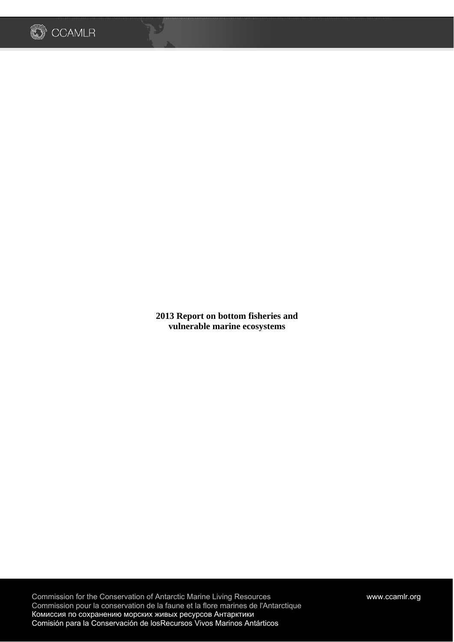

لأردح

**2013 Report on bottom fisheries and vulnerable marine ecosystems**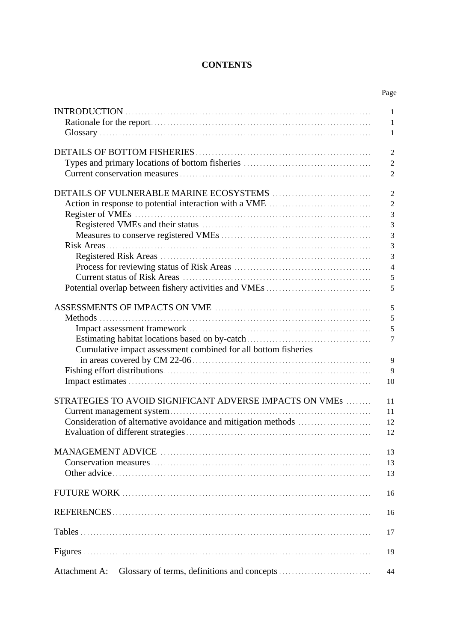# **CONTENTS**

|                                                                | Page           |
|----------------------------------------------------------------|----------------|
|                                                                | 1              |
|                                                                | 1              |
|                                                                | 1              |
|                                                                | $\overline{2}$ |
|                                                                | $\overline{2}$ |
|                                                                | $\overline{2}$ |
|                                                                | $\overline{2}$ |
|                                                                | $\overline{2}$ |
|                                                                | 3              |
|                                                                | 3              |
|                                                                | 3              |
|                                                                | 3              |
|                                                                | 3              |
|                                                                | $\overline{4}$ |
|                                                                | 5              |
|                                                                | 5              |
|                                                                |                |
|                                                                | 5              |
|                                                                | 5              |
|                                                                | 5              |
|                                                                | $\overline{7}$ |
| Cumulative impact assessment combined for all bottom fisheries |                |
|                                                                | $\mathbf{Q}$   |
|                                                                | 9              |
|                                                                | 10             |
| STRATEGIES TO AVOID SIGNIFICANT ADVERSE IMPACTS ON VMES        | 11             |
|                                                                | 11             |
|                                                                | 12             |
|                                                                | 12             |
|                                                                | 13             |
|                                                                | 13             |
|                                                                | 13             |
|                                                                | 16             |
|                                                                |                |
|                                                                | 16             |
|                                                                | 17             |
|                                                                | 19             |
| Attachment A:                                                  | 44             |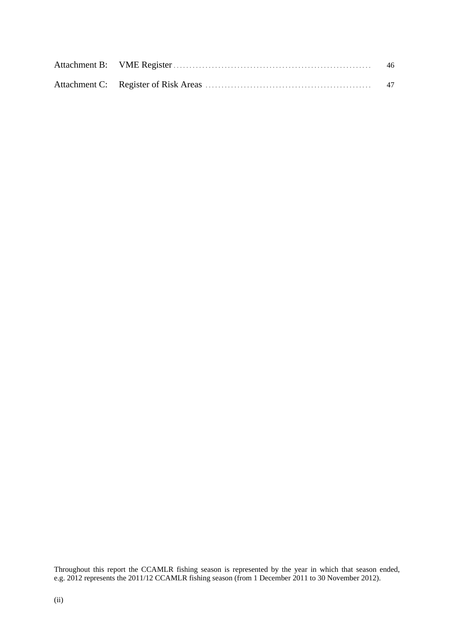|  | 46 |
|--|----|
|  | 47 |

Throughout this report the CCAMLR fishing season is represented by the year in which that season ended, e.g. 2012 represents the 2011/12 CCAMLR fishing season (from 1 December 2011 to 30 November 2012).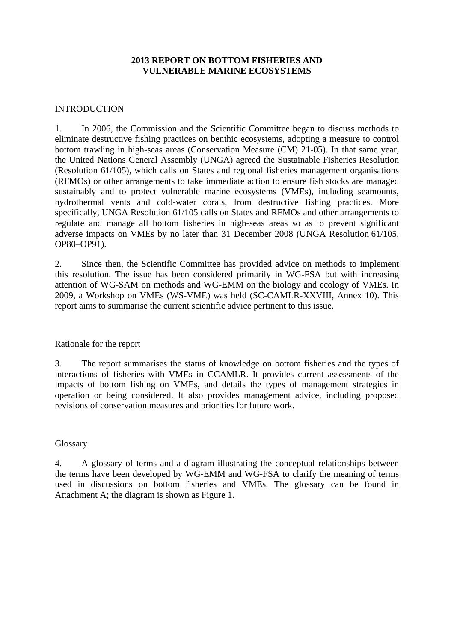## **2013 REPORT ON BOTTOM FISHERIES AND VULNERABLE MARINE ECOSYSTEMS**

### INTRODUCTION

1. In 2006, the Commission and the Scientific Committee began to discuss methods to eliminate destructive fishing practices on benthic ecosystems, adopting a measure to control bottom trawling in high-seas areas (Conservation Measure (CM) 21-05). In that same year, the United Nations General Assembly (UNGA) agreed the Sustainable Fisheries Resolution (Resolution 61/105), which calls on States and regional fisheries management organisations (RFMOs) or other arrangements to take immediate action to ensure fish stocks are managed sustainably and to protect vulnerable marine ecosystems (VMEs), including seamounts, hydrothermal vents and cold-water corals, from destructive fishing practices. More specifically, UNGA Resolution 61/105 calls on States and RFMOs and other arrangements to regulate and manage all bottom fisheries in high-seas areas so as to prevent significant adverse impacts on VMEs by no later than 31 December 2008 (UNGA Resolution 61/105, OP80–OP91).

2. Since then, the Scientific Committee has provided advice on methods to implement this resolution. The issue has been considered primarily in WG-FSA but with increasing attention of WG-SAM on methods and WG-EMM on the biology and ecology of VMEs. In 2009, a Workshop on VMEs (WS-VME) was held (SC-CAMLR-XXVIII, Annex 10). This report aims to summarise the current scientific advice pertinent to this issue.

#### Rationale for the report

3. The report summarises the status of knowledge on bottom fisheries and the types of interactions of fisheries with VMEs in CCAMLR. It provides current assessments of the impacts of bottom fishing on VMEs, and details the types of management strategies in operation or being considered. It also provides management advice, including proposed revisions of conservation measures and priorities for future work.

#### Glossary

4. A glossary of terms and a diagram illustrating the conceptual relationships between the terms have been developed by WG-EMM and WG-FSA to clarify the meaning of terms used in discussions on bottom fisheries and VMEs. The glossary can be found in Attachment A; the diagram is shown as Figure 1.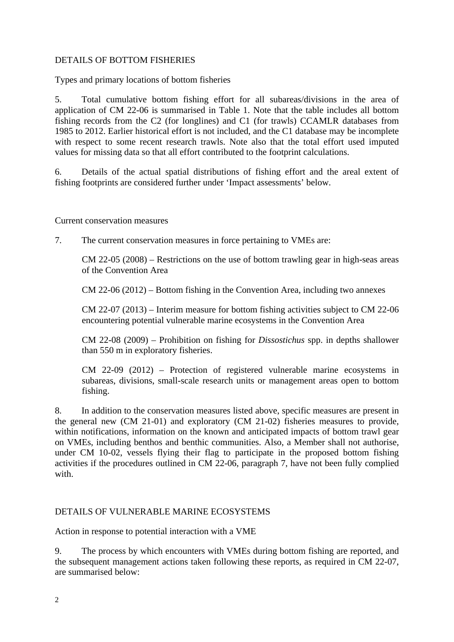## DETAILS OF BOTTOM FISHERIES

Types and primary locations of bottom fisheries

5. Total cumulative bottom fishing effort for all subareas/divisions in the area of application of CM 22-06 is summarised in Table 1. Note that the table includes all bottom fishing records from the C2 (for longlines) and C1 (for trawls) CCAMLR databases from 1985 to 2012. Earlier historical effort is not included, and the C1 database may be incomplete with respect to some recent research trawls. Note also that the total effort used imputed values for missing data so that all effort contributed to the footprint calculations.

6. Details of the actual spatial distributions of fishing effort and the areal extent of fishing footprints are considered further under 'Impact assessments' below.

Current conservation measures

7. The current conservation measures in force pertaining to VMEs are:

CM 22-05 (2008) – Restrictions on the use of bottom trawling gear in high-seas areas of the Convention Area

CM 22-06 (2012) – Bottom fishing in the Convention Area, including two annexes

CM 22-07 (2013) – Interim measure for bottom fishing activities subject to CM 22-06 encountering potential vulnerable marine ecosystems in the Convention Area

CM 22-08 (2009) – Prohibition on fishing for *Dissostichus* spp. in depths shallower than 550 m in exploratory fisheries.

CM 22-09 (2012) – Protection of registered vulnerable marine ecosystems in subareas, divisions, small-scale research units or management areas open to bottom fishing.

8. In addition to the conservation measures listed above, specific measures are present in the general new (CM 21-01) and exploratory (CM 21-02) fisheries measures to provide, within notifications, information on the known and anticipated impacts of bottom trawl gear on VMEs, including benthos and benthic communities. Also, a Member shall not authorise, under CM 10-02, vessels flying their flag to participate in the proposed bottom fishing activities if the procedures outlined in CM 22-06, paragraph 7, have not been fully complied with

## DETAILS OF VULNERABLE MARINE ECOSYSTEMS

Action in response to potential interaction with a VME

9. The process by which encounters with VMEs during bottom fishing are reported, and the subsequent management actions taken following these reports, as required in CM 22-07, are summarised below: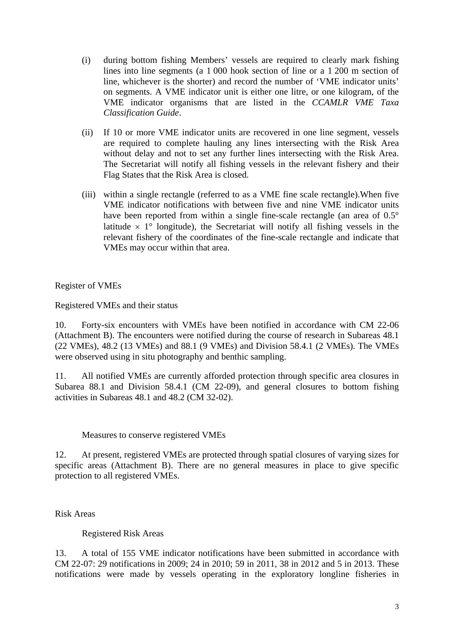- (i) during bottom fishing Members' vessels are required to clearly mark fishing lines into line segments (a 1 000 hook section of line or a 1 200 m section of line, whichever is the shorter) and record the number of 'VME indicator units' on segments. A VME indicator unit is either one litre, or one kilogram, of the VME indicator organisms that are listed in the *CCAMLR VME Taxa Classification Guide*.
- (ii) If 10 or more VME indicator units are recovered in one line segment, vessels are required to complete hauling any lines intersecting with the Risk Area without delay and not to set any further lines intersecting with the Risk Area. The Secretariat will notify all fishing vessels in the relevant fishery and their Flag States that the Risk Area is closed.
- (iii) within a single rectangle (referred to as a VME fine scale rectangle).When five VME indicator notifications with between five and nine VME indicator units have been reported from within a single fine-scale rectangle (an area of  $0.5^{\circ}$ ) latitude  $\times$  1° longitude), the Secretariat will notify all fishing vessels in the relevant fishery of the coordinates of the fine-scale rectangle and indicate that VMEs may occur within that area.

Register of VMEs

Registered VMEs and their status

10. Forty-six encounters with VMEs have been notified in accordance with CM 22-06 (Attachment B). The encounters were notified during the course of research in Subareas 48.1 (22 VMEs), 48.2 (13 VMEs) and 88.1 (9 VMEs) and Division 58.4.1 (2 VMEs). The VMEs were observed using in situ photography and benthic sampling.

11. All notified VMEs are currently afforded protection through specific area closures in Subarea 88.1 and Division 58.4.1 (CM 22-09), and general closures to bottom fishing activities in Subareas 48.1 and 48.2 (CM 32-02).

Measures to conserve registered VMEs

12. At present, registered VMEs are protected through spatial closures of varying sizes for specific areas (Attachment B). There are no general measures in place to give specific protection to all registered VMEs.

Risk Areas

Registered Risk Areas

13. A total of 155 VME indicator notifications have been submitted in accordance with CM 22-07: 29 notifications in 2009; 24 in 2010; 59 in 2011, 38 in 2012 and 5 in 2013. These notifications were made by vessels operating in the exploratory longline fisheries in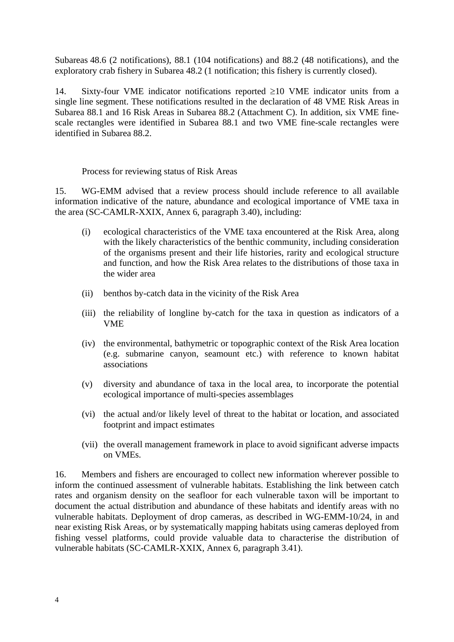Subareas 48.6 (2 notifications), 88.1 (104 notifications) and 88.2 (48 notifications), and the exploratory crab fishery in Subarea 48.2 (1 notification; this fishery is currently closed).

14. Sixty-four VME indicator notifications reported  $\geq 10$  VME indicator units from a single line segment. These notifications resulted in the declaration of 48 VME Risk Areas in Subarea 88.1 and 16 Risk Areas in Subarea 88.2 (Attachment C). In addition, six VME finescale rectangles were identified in Subarea 88.1 and two VME fine-scale rectangles were identified in Subarea 88.2.

Process for reviewing status of Risk Areas

15. WG-EMM advised that a review process should include reference to all available information indicative of the nature, abundance and ecological importance of VME taxa in the area (SC-CAMLR-XXIX, Annex 6, paragraph 3.40), including:

- (i) ecological characteristics of the VME taxa encountered at the Risk Area, along with the likely characteristics of the benthic community, including consideration of the organisms present and their life histories, rarity and ecological structure and function, and how the Risk Area relates to the distributions of those taxa in the wider area
- (ii) benthos by-catch data in the vicinity of the Risk Area
- (iii) the reliability of longline by-catch for the taxa in question as indicators of a VME
- (iv) the environmental, bathymetric or topographic context of the Risk Area location (e.g. submarine canyon, seamount etc.) with reference to known habitat associations
- (v) diversity and abundance of taxa in the local area, to incorporate the potential ecological importance of multi-species assemblages
- (vi) the actual and/or likely level of threat to the habitat or location, and associated footprint and impact estimates
- (vii) the overall management framework in place to avoid significant adverse impacts on VMEs.

16. Members and fishers are encouraged to collect new information wherever possible to inform the continued assessment of vulnerable habitats. Establishing the link between catch rates and organism density on the seafloor for each vulnerable taxon will be important to document the actual distribution and abundance of these habitats and identify areas with no vulnerable habitats. Deployment of drop cameras, as described in WG-EMM-10/24, in and near existing Risk Areas, or by systematically mapping habitats using cameras deployed from fishing vessel platforms, could provide valuable data to characterise the distribution of vulnerable habitats (SC-CAMLR-XXIX, Annex 6, paragraph 3.41).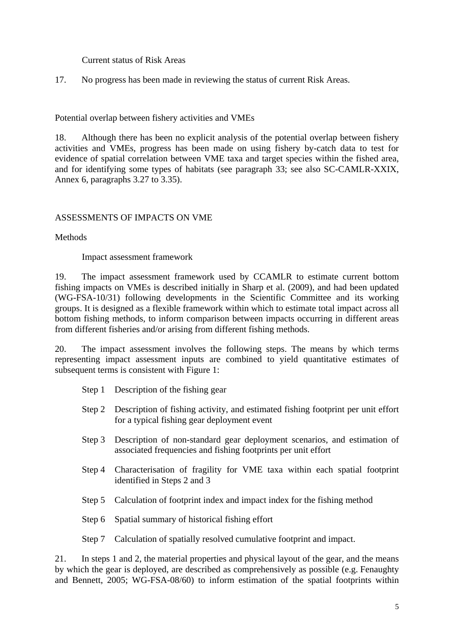Current status of Risk Areas

17. No progress has been made in reviewing the status of current Risk Areas.

Potential overlap between fishery activities and VMEs

18. Although there has been no explicit analysis of the potential overlap between fishery activities and VMEs, progress has been made on using fishery by-catch data to test for evidence of spatial correlation between VME taxa and target species within the fished area, and for identifying some types of habitats (see paragraph 33; see also SC-CAMLR-XXIX, Annex 6, paragraphs 3.27 to 3.35).

# ASSESSMENTS OF IMPACTS ON VME

Methods

Impact assessment framework

19. The impact assessment framework used by CCAMLR to estimate current bottom fishing impacts on VMEs is described initially in Sharp et al. (2009), and had been updated (WG-FSA-10/31) following developments in the Scientific Committee and its working groups. It is designed as a flexible framework within which to estimate total impact across all bottom fishing methods, to inform comparison between impacts occurring in different areas from different fisheries and/or arising from different fishing methods.

20. The impact assessment involves the following steps. The means by which terms representing impact assessment inputs are combined to yield quantitative estimates of subsequent terms is consistent with Figure 1:

- Step 1 Description of the fishing gear
- Step 2 Description of fishing activity, and estimated fishing footprint per unit effort for a typical fishing gear deployment event
- Step 3 Description of non-standard gear deployment scenarios, and estimation of associated frequencies and fishing footprints per unit effort
- Step 4 Characterisation of fragility for VME taxa within each spatial footprint identified in Steps 2 and 3
- Step 5 Calculation of footprint index and impact index for the fishing method
- Step 6 Spatial summary of historical fishing effort

Step 7 Calculation of spatially resolved cumulative footprint and impact.

21. In steps 1 and 2, the material properties and physical layout of the gear, and the means by which the gear is deployed, are described as comprehensively as possible (e.g. Fenaughty and Bennett, 2005; WG-FSA-08/60) to inform estimation of the spatial footprints within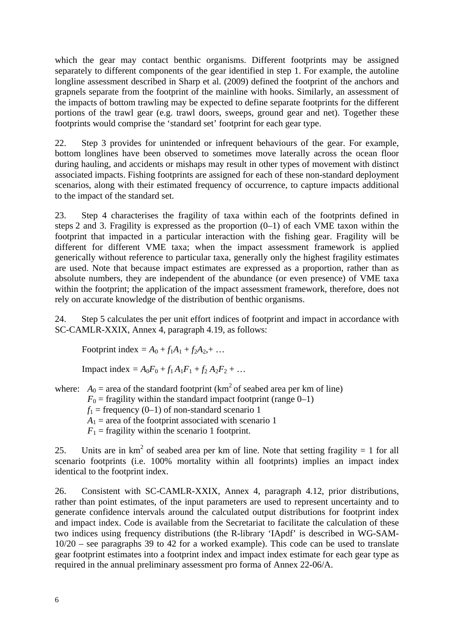which the gear may contact benthic organisms. Different footprints may be assigned separately to different components of the gear identified in step 1. For example, the autoline longline assessment described in Sharp et al. (2009) defined the footprint of the anchors and grapnels separate from the footprint of the mainline with hooks. Similarly, an assessment of the impacts of bottom trawling may be expected to define separate footprints for the different portions of the trawl gear (e.g. trawl doors, sweeps, ground gear and net). Together these footprints would comprise the 'standard set' footprint for each gear type.

22. Step 3 provides for unintended or infrequent behaviours of the gear. For example, bottom longlines have been observed to sometimes move laterally across the ocean floor during hauling, and accidents or mishaps may result in other types of movement with distinct associated impacts. Fishing footprints are assigned for each of these non-standard deployment scenarios, along with their estimated frequency of occurrence, to capture impacts additional to the impact of the standard set.

23. Step 4 characterises the fragility of taxa within each of the footprints defined in steps 2 and 3. Fragility is expressed as the proportion (0–1) of each VME taxon within the footprint that impacted in a particular interaction with the fishing gear. Fragility will be different for different VME taxa; when the impact assessment framework is applied generically without reference to particular taxa, generally only the highest fragility estimates are used. Note that because impact estimates are expressed as a proportion, rather than as absolute numbers, they are independent of the abundance (or even presence) of VME taxa within the footprint; the application of the impact assessment framework, therefore, does not rely on accurate knowledge of the distribution of benthic organisms.

24. Step 5 calculates the per unit effort indices of footprint and impact in accordance with SC-CAMLR-XXIX, Annex 4, paragraph 4.19, as follows:

Footprint index =  $A_0 + f_1A_1 + f_2A_2 + ...$ 

Impact index =  $A_0F_0 + f_1A_1F_1 + f_2A_2F_2 + ...$ 

where:  $A_0$  = area of the standard footprint ( $km^2$  of seabed area per km of line)  $F_0$  = fragility within the standard impact footprint (range 0–1)  $f_1$  = frequency (0–1) of non-standard scenario 1  $A_1$  = area of the footprint associated with scenario 1  $F_1$  = fragility within the scenario 1 footprint.

25. Units are in  $km^2$  of seabed area per km of line. Note that setting fragility = 1 for all scenario footprints (i.e. 100% mortality within all footprints) implies an impact index identical to the footprint index.

26. Consistent with SC-CAMLR-XXIX, Annex 4, paragraph 4.12, prior distributions, rather than point estimates, of the input parameters are used to represent uncertainty and to generate confidence intervals around the calculated output distributions for footprint index and impact index. Code is available from the Secretariat to facilitate the calculation of these two indices using frequency distributions (the R-library 'IApdf' is described in WG-SAM-10/20 – see paragraphs 39 to 42 for a worked example). This code can be used to translate gear footprint estimates into a footprint index and impact index estimate for each gear type as required in the annual preliminary assessment pro forma of Annex 22-06/A.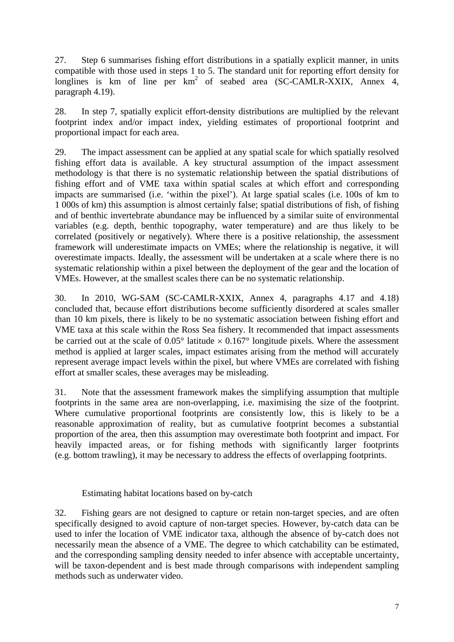27. Step 6 summarises fishing effort distributions in a spatially explicit manner, in units compatible with those used in steps 1 to 5. The standard unit for reporting effort density for longlines is km of line per  $km^2$  of seabed area (SC-CAMLR-XXIX, Annex 4, paragraph 4.19).

28. In step 7, spatially explicit effort-density distributions are multiplied by the relevant footprint index and/or impact index, yielding estimates of proportional footprint and proportional impact for each area.

29. The impact assessment can be applied at any spatial scale for which spatially resolved fishing effort data is available. A key structural assumption of the impact assessment methodology is that there is no systematic relationship between the spatial distributions of fishing effort and of VME taxa within spatial scales at which effort and corresponding impacts are summarised (i.e. 'within the pixel'). At large spatial scales (i.e. 100s of km to 1 000s of km) this assumption is almost certainly false; spatial distributions of fish, of fishing and of benthic invertebrate abundance may be influenced by a similar suite of environmental variables (e.g. depth, benthic topography, water temperature) and are thus likely to be correlated (positively or negatively). Where there is a positive relationship, the assessment framework will underestimate impacts on VMEs; where the relationship is negative, it will overestimate impacts. Ideally, the assessment will be undertaken at a scale where there is no systematic relationship within a pixel between the deployment of the gear and the location of VMEs. However, at the smallest scales there can be no systematic relationship.

30. In 2010, WG-SAM (SC-CAMLR-XXIX, Annex 4, paragraphs 4.17 and 4.18) concluded that, because effort distributions become sufficiently disordered at scales smaller than 10 km pixels, there is likely to be no systematic association between fishing effort and VME taxa at this scale within the Ross Sea fishery. It recommended that impact assessments be carried out at the scale of  $0.05^{\circ}$  latitude  $\times 0.167^{\circ}$  longitude pixels. Where the assessment method is applied at larger scales, impact estimates arising from the method will accurately represent average impact levels within the pixel, but where VMEs are correlated with fishing effort at smaller scales, these averages may be misleading.

31. Note that the assessment framework makes the simplifying assumption that multiple footprints in the same area are non-overlapping, i.e. maximising the size of the footprint. Where cumulative proportional footprints are consistently low, this is likely to be a reasonable approximation of reality, but as cumulative footprint becomes a substantial proportion of the area, then this assumption may overestimate both footprint and impact. For heavily impacted areas, or for fishing methods with significantly larger footprints (e.g. bottom trawling), it may be necessary to address the effects of overlapping footprints.

Estimating habitat locations based on by-catch

32. Fishing gears are not designed to capture or retain non-target species, and are often specifically designed to avoid capture of non-target species. However, by-catch data can be used to infer the location of VME indicator taxa, although the absence of by-catch does not necessarily mean the absence of a VME. The degree to which catchability can be estimated, and the corresponding sampling density needed to infer absence with acceptable uncertainty, will be taxon-dependent and is best made through comparisons with independent sampling methods such as underwater video.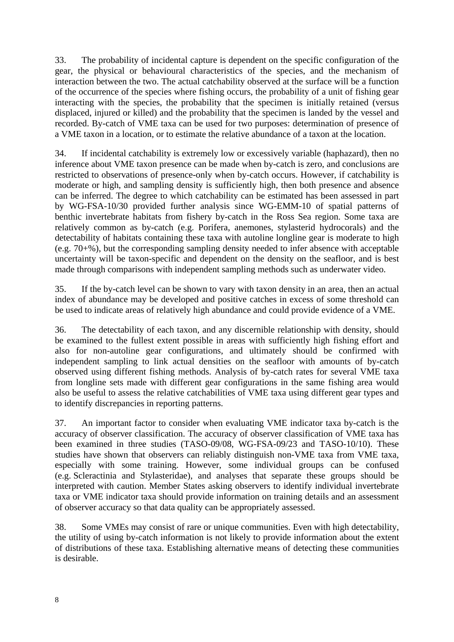33. The probability of incidental capture is dependent on the specific configuration of the gear, the physical or behavioural characteristics of the species, and the mechanism of interaction between the two. The actual catchability observed at the surface will be a function of the occurrence of the species where fishing occurs, the probability of a unit of fishing gear interacting with the species, the probability that the specimen is initially retained (versus displaced, injured or killed) and the probability that the specimen is landed by the vessel and recorded. By-catch of VME taxa can be used for two purposes: determination of presence of a VME taxon in a location, or to estimate the relative abundance of a taxon at the location.

34. If incidental catchability is extremely low or excessively variable (haphazard), then no inference about VME taxon presence can be made when by-catch is zero, and conclusions are restricted to observations of presence-only when by-catch occurs. However, if catchability is moderate or high, and sampling density is sufficiently high, then both presence and absence can be inferred. The degree to which catchability can be estimated has been assessed in part by WG-FSA-10/30 provided further analysis since WG-EMM-10 of spatial patterns of benthic invertebrate habitats from fishery by-catch in the Ross Sea region. Some taxa are relatively common as by-catch (e.g. Porifera, anemones, stylasterid hydrocorals) and the detectability of habitats containing these taxa with autoline longline gear is moderate to high (e.g. 70+%), but the corresponding sampling density needed to infer absence with acceptable uncertainty will be taxon-specific and dependent on the density on the seafloor, and is best made through comparisons with independent sampling methods such as underwater video.

35. If the by-catch level can be shown to vary with taxon density in an area, then an actual index of abundance may be developed and positive catches in excess of some threshold can be used to indicate areas of relatively high abundance and could provide evidence of a VME.

36. The detectability of each taxon, and any discernible relationship with density, should be examined to the fullest extent possible in areas with sufficiently high fishing effort and also for non-autoline gear configurations, and ultimately should be confirmed with independent sampling to link actual densities on the seafloor with amounts of by-catch observed using different fishing methods. Analysis of by-catch rates for several VME taxa from longline sets made with different gear configurations in the same fishing area would also be useful to assess the relative catchabilities of VME taxa using different gear types and to identify discrepancies in reporting patterns.

37. An important factor to consider when evaluating VME indicator taxa by-catch is the accuracy of observer classification. The accuracy of observer classification of VME taxa has been examined in three studies (TASO-09/08, WG-FSA-09/23 and TASO-10/10). These studies have shown that observers can reliably distinguish non-VME taxa from VME taxa, especially with some training. However, some individual groups can be confused (e.g. Scleractinia and Stylasteridae), and analyses that separate these groups should be interpreted with caution. Member States asking observers to identify individual invertebrate taxa or VME indicator taxa should provide information on training details and an assessment of observer accuracy so that data quality can be appropriately assessed.

38. Some VMEs may consist of rare or unique communities. Even with high detectability, the utility of using by-catch information is not likely to provide information about the extent of distributions of these taxa. Establishing alternative means of detecting these communities is desirable.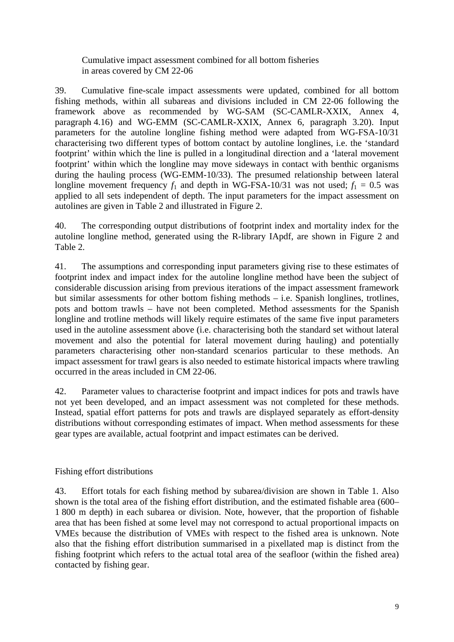Cumulative impact assessment combined for all bottom fisheries in areas covered by CM 22-06

39. Cumulative fine-scale impact assessments were updated, combined for all bottom fishing methods, within all subareas and divisions included in CM 22-06 following the framework above as recommended by WG-SAM (SC-CAMLR-XXIX, Annex 4, paragraph 4.16) and WG-EMM (SC-CAMLR-XXIX, Annex 6, paragraph 3.20). Input parameters for the autoline longline fishing method were adapted from WG-FSA-10/31 characterising two different types of bottom contact by autoline longlines, i.e. the 'standard footprint' within which the line is pulled in a longitudinal direction and a 'lateral movement footprint' within which the longline may move sideways in contact with benthic organisms during the hauling process (WG-EMM-10/33). The presumed relationship between lateral longline movement frequency  $f_1$  and depth in WG-FSA-10/31 was not used;  $f_1 = 0.5$  was applied to all sets independent of depth. The input parameters for the impact assessment on autolines are given in Table 2 and illustrated in Figure 2.

40. The corresponding output distributions of footprint index and mortality index for the autoline longline method, generated using the R-library IApdf, are shown in Figure 2 and Table 2.

41. The assumptions and corresponding input parameters giving rise to these estimates of footprint index and impact index for the autoline longline method have been the subject of considerable discussion arising from previous iterations of the impact assessment framework but similar assessments for other bottom fishing methods – i.e. Spanish longlines, trotlines, pots and bottom trawls – have not been completed. Method assessments for the Spanish longline and trotline methods will likely require estimates of the same five input parameters used in the autoline assessment above (i.e. characterising both the standard set without lateral movement and also the potential for lateral movement during hauling) and potentially parameters characterising other non-standard scenarios particular to these methods. An impact assessment for trawl gears is also needed to estimate historical impacts where trawling occurred in the areas included in CM 22-06.

42. Parameter values to characterise footprint and impact indices for pots and trawls have not yet been developed, and an impact assessment was not completed for these methods. Instead, spatial effort patterns for pots and trawls are displayed separately as effort-density distributions without corresponding estimates of impact. When method assessments for these gear types are available, actual footprint and impact estimates can be derived.

Fishing effort distributions

43. Effort totals for each fishing method by subarea/division are shown in Table 1. Also shown is the total area of the fishing effort distribution, and the estimated fishable area (600– 1 800 m depth) in each subarea or division. Note, however, that the proportion of fishable area that has been fished at some level may not correspond to actual proportional impacts on VMEs because the distribution of VMEs with respect to the fished area is unknown. Note also that the fishing effort distribution summarised in a pixellated map is distinct from the fishing footprint which refers to the actual total area of the seafloor (within the fished area) contacted by fishing gear.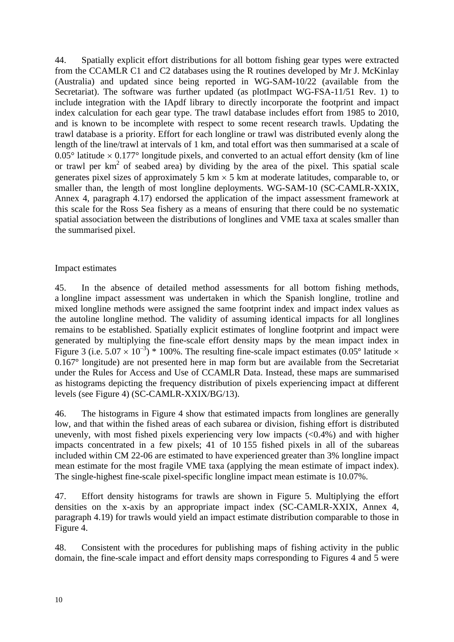44. Spatially explicit effort distributions for all bottom fishing gear types were extracted from the CCAMLR C1 and C2 databases using the R routines developed by Mr J. McKinlay (Australia) and updated since being reported in WG-SAM-10/22 (available from the Secretariat). The software was further updated (as plotImpact WG-FSA-11/51 Rev. 1) to include integration with the IApdf library to directly incorporate the footprint and impact index calculation for each gear type. The trawl database includes effort from 1985 to 2010, and is known to be incomplete with respect to some recent research trawls. Updating the trawl database is a priority. Effort for each longline or trawl was distributed evenly along the length of the line/trawl at intervals of 1 km, and total effort was then summarised at a scale of  $0.05^{\circ}$  latitude  $\times$  0.177° longitude pixels, and converted to an actual effort density (km of line or trawl per  $km^2$  of seabed area) by dividing by the area of the pixel. This spatial scale generates pixel sizes of approximately 5 km  $\times$  5 km at moderate latitudes, comparable to, or smaller than, the length of most longline deployments. WG-SAM-10 (SC-CAMLR-XXIX, Annex 4, paragraph 4.17) endorsed the application of the impact assessment framework at this scale for the Ross Sea fishery as a means of ensuring that there could be no systematic spatial association between the distributions of longlines and VME taxa at scales smaller than the summarised pixel.

## Impact estimates

45. In the absence of detailed method assessments for all bottom fishing methods, a longline impact assessment was undertaken in which the Spanish longline, trotline and mixed longline methods were assigned the same footprint index and impact index values as the autoline longline method. The validity of assuming identical impacts for all longlines remains to be established. Spatially explicit estimates of longline footprint and impact were generated by multiplying the fine-scale effort density maps by the mean impact index in Figure 3 (i.e.  $5.07 \times 10^{-3}$ ) \* 100%. The resulting fine-scale impact estimates (0.05° latitude  $\times$ 0.167° longitude) are not presented here in map form but are available from the Secretariat under the Rules for Access and Use of CCAMLR Data. Instead, these maps are summarised as histograms depicting the frequency distribution of pixels experiencing impact at different levels (see Figure 4) (SC-CAMLR-XXIX/BG/13).

46. The histograms in Figure 4 show that estimated impacts from longlines are generally low, and that within the fished areas of each subarea or division, fishing effort is distributed unevenly, with most fished pixels experiencing very low impacts  $( $0.4\%$ )$  and with higher impacts concentrated in a few pixels; 41 of 10 155 fished pixels in all of the subareas included within CM 22-06 are estimated to have experienced greater than 3% longline impact mean estimate for the most fragile VME taxa (applying the mean estimate of impact index). The single-highest fine-scale pixel-specific longline impact mean estimate is 10.07%.

47. Effort density histograms for trawls are shown in Figure 5. Multiplying the effort densities on the x-axis by an appropriate impact index (SC-CAMLR-XXIX, Annex 4, paragraph 4.19) for trawls would yield an impact estimate distribution comparable to those in Figure 4.

48. Consistent with the procedures for publishing maps of fishing activity in the public domain, the fine-scale impact and effort density maps corresponding to Figures 4 and 5 were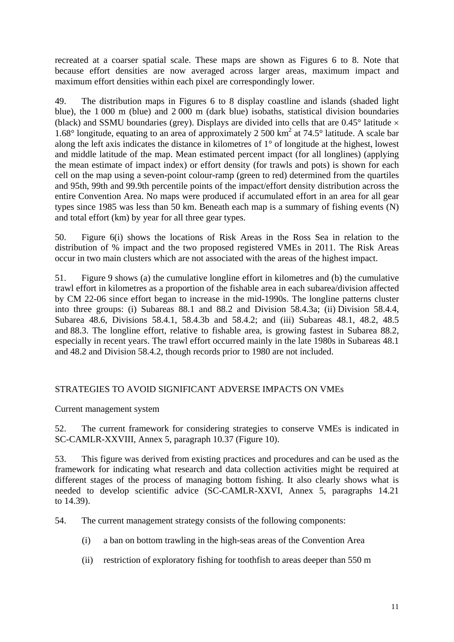recreated at a coarser spatial scale. These maps are shown as Figures 6 to 8. Note that because effort densities are now averaged across larger areas, maximum impact and maximum effort densities within each pixel are correspondingly lower.

49. The distribution maps in Figures 6 to 8 display coastline and islands (shaded light blue), the 1 000 m (blue) and 2 000 m (dark blue) isobaths, statistical division boundaries (black) and SSMU boundaries (grey). Displays are divided into cells that are  $0.45^{\circ}$  latitude  $\times$ 1.68 $\degree$  longitude, equating to an area of approximately 2 500 km<sup>2</sup> at 74.5 $\degree$  latitude. A scale bar along the left axis indicates the distance in kilometres of 1° of longitude at the highest, lowest and middle latitude of the map. Mean estimated percent impact (for all longlines) (applying the mean estimate of impact index) or effort density (for trawls and pots) is shown for each cell on the map using a seven-point colour-ramp (green to red) determined from the quartiles and 95th, 99th and 99.9th percentile points of the impact/effort density distribution across the entire Convention Area. No maps were produced if accumulated effort in an area for all gear types since 1985 was less than 50 km. Beneath each map is a summary of fishing events (N) and total effort (km) by year for all three gear types.

50. Figure 6(i) shows the locations of Risk Areas in the Ross Sea in relation to the distribution of % impact and the two proposed registered VMEs in 2011. The Risk Areas occur in two main clusters which are not associated with the areas of the highest impact.

51. Figure 9 shows (a) the cumulative longline effort in kilometres and (b) the cumulative trawl effort in kilometres as a proportion of the fishable area in each subarea/division affected by CM 22-06 since effort began to increase in the mid-1990s. The longline patterns cluster into three groups: (i) Subareas 88.1 and 88.2 and Division 58.4.3a; (ii) Division 58.4.4, Subarea 48.6, Divisions 58.4.1, 58.4.3b and 58.4.2; and (iii) Subareas 48.1, 48.2, 48.5 and 88.3. The longline effort, relative to fishable area, is growing fastest in Subarea 88.2, especially in recent years. The trawl effort occurred mainly in the late 1980s in Subareas 48.1 and 48.2 and Division 58.4.2, though records prior to 1980 are not included.

# STRATEGIES TO AVOID SIGNIFICANT ADVERSE IMPACTS ON VMEs

Current management system

52. The current framework for considering strategies to conserve VMEs is indicated in SC-CAMLR-XXVIII, Annex 5, paragraph 10.37 (Figure 10).

53. This figure was derived from existing practices and procedures and can be used as the framework for indicating what research and data collection activities might be required at different stages of the process of managing bottom fishing. It also clearly shows what is needed to develop scientific advice (SC-CAMLR-XXVI, Annex 5, paragraphs 14.21 to 14.39).

54. The current management strategy consists of the following components:

- (i) a ban on bottom trawling in the high-seas areas of the Convention Area
- (ii) restriction of exploratory fishing for toothfish to areas deeper than 550 m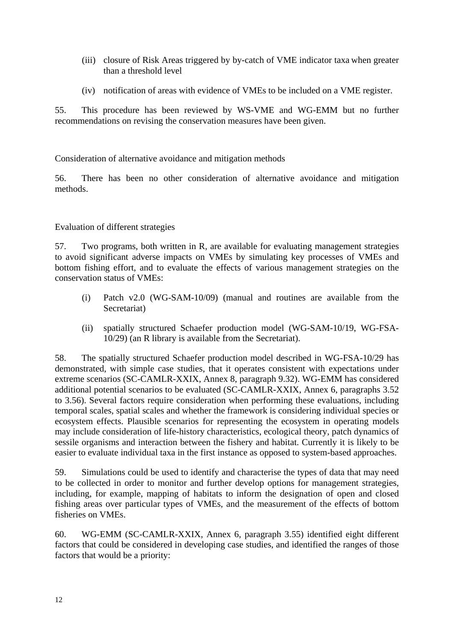- (iii) closure of Risk Areas triggered by by-catch of VME indicator taxa when greater than a threshold level
- (iv) notification of areas with evidence of VMEs to be included on a VME register.

55. This procedure has been reviewed by WS-VME and WG-EMM but no further recommendations on revising the conservation measures have been given.

Consideration of alternative avoidance and mitigation methods

56. There has been no other consideration of alternative avoidance and mitigation methods.

## Evaluation of different strategies

57. Two programs, both written in R, are available for evaluating management strategies to avoid significant adverse impacts on VMEs by simulating key processes of VMEs and bottom fishing effort, and to evaluate the effects of various management strategies on the conservation status of VMEs:

- (i) Patch v2.0 (WG-SAM-10/09) (manual and routines are available from the Secretariat)
- (ii) spatially structured Schaefer production model (WG-SAM-10/19, WG-FSA-10/29) (an R library is available from the Secretariat).

58. The spatially structured Schaefer production model described in WG-FSA-10/29 has demonstrated, with simple case studies, that it operates consistent with expectations under extreme scenarios (SC-CAMLR-XXIX, Annex 8, paragraph 9.32). WG-EMM has considered additional potential scenarios to be evaluated (SC-CAMLR-XXIX, Annex 6, paragraphs 3.52 to 3.56). Several factors require consideration when performing these evaluations, including temporal scales, spatial scales and whether the framework is considering individual species or ecosystem effects. Plausible scenarios for representing the ecosystem in operating models may include consideration of life-history characteristics, ecological theory, patch dynamics of sessile organisms and interaction between the fishery and habitat. Currently it is likely to be easier to evaluate individual taxa in the first instance as opposed to system-based approaches.

59. Simulations could be used to identify and characterise the types of data that may need to be collected in order to monitor and further develop options for management strategies, including, for example, mapping of habitats to inform the designation of open and closed fishing areas over particular types of VMEs, and the measurement of the effects of bottom fisheries on VMEs.

60. WG-EMM (SC-CAMLR-XXIX, Annex 6, paragraph 3.55) identified eight different factors that could be considered in developing case studies, and identified the ranges of those factors that would be a priority: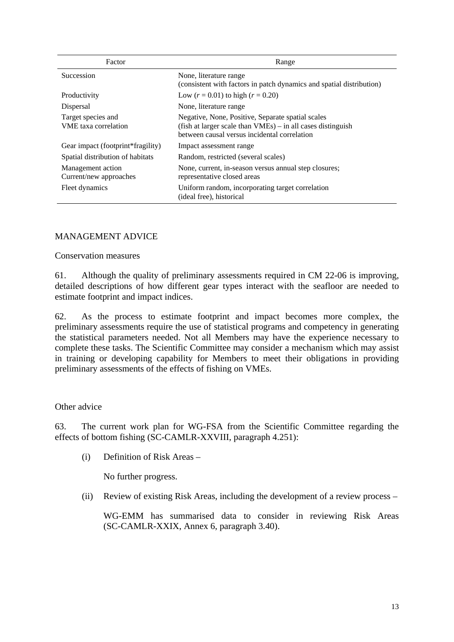| Factor                                            | Range                                                                                                                                                               |
|---------------------------------------------------|---------------------------------------------------------------------------------------------------------------------------------------------------------------------|
| <b>Succession</b>                                 | None, literature range<br>(consistent with factors in patch dynamics and spatial distribution)                                                                      |
| Productivity                                      | Low $(r = 0.01)$ to high $(r = 0.20)$                                                                                                                               |
| Dispersal                                         | None, literature range                                                                                                                                              |
| Target species and<br><b>VME</b> taxa correlation | Negative, None, Positive, Separate spatial scales<br>(fish at larger scale than $VMEs$ ) – in all cases distinguish<br>between causal versus incidental correlation |
| Gear impact (footprint*fragility)                 | Impact assessment range                                                                                                                                             |
| Spatial distribution of habitats                  | Random, restricted (several scales)                                                                                                                                 |
| Management action<br>Current/new approaches       | None, current, in-season versus annual step closures;<br>representative closed areas                                                                                |
| Fleet dynamics                                    | Uniform random, incorporating target correlation<br>(ideal free), historical                                                                                        |

## MANAGEMENT ADVICE

Conservation measures

61. Although the quality of preliminary assessments required in CM 22-06 is improving, detailed descriptions of how different gear types interact with the seafloor are needed to estimate footprint and impact indices.

62. As the process to estimate footprint and impact becomes more complex, the preliminary assessments require the use of statistical programs and competency in generating the statistical parameters needed. Not all Members may have the experience necessary to complete these tasks. The Scientific Committee may consider a mechanism which may assist in training or developing capability for Members to meet their obligations in providing preliminary assessments of the effects of fishing on VMEs.

## Other advice

63. The current work plan for WG-FSA from the Scientific Committee regarding the effects of bottom fishing (SC-CAMLR-XXVIII, paragraph 4.251):

(i) Definition of Risk Areas –

No further progress.

(ii) Review of existing Risk Areas, including the development of a review process –

WG-EMM has summarised data to consider in reviewing Risk Areas (SC-CAMLR-XXIX, Annex 6, paragraph 3.40).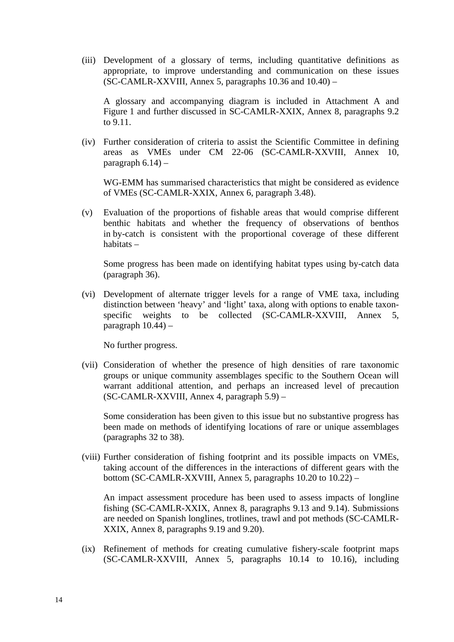(iii) Development of a glossary of terms, including quantitative definitions as appropriate, to improve understanding and communication on these issues (SC-CAMLR-XXVIII, Annex 5, paragraphs  $10.36$  and  $10.40$ ) –

A glossary and accompanying diagram is included in Attachment A and Figure 1 and further discussed in SC-CAMLR-XXIX, Annex 8, paragraphs 9.2 to 9.11.

(iv) Further consideration of criteria to assist the Scientific Committee in defining areas as VMEs under CM 22-06 (SC-CAMLR-XXVIII, Annex 10, paragraph  $6.14$ ) –

WG-EMM has summarised characteristics that might be considered as evidence of VMEs (SC-CAMLR-XXIX, Annex 6, paragraph 3.48).

(v) Evaluation of the proportions of fishable areas that would comprise different benthic habitats and whether the frequency of observations of benthos in by-catch is consistent with the proportional coverage of these different habitats –

Some progress has been made on identifying habitat types using by-catch data (paragraph 36).

(vi) Development of alternate trigger levels for a range of VME taxa, including distinction between 'heavy' and 'light' taxa, along with options to enable taxonspecific weights to be collected (SC-CAMLR-XXVIII, Annex 5, paragraph  $10.44$ ) –

No further progress.

(vii) Consideration of whether the presence of high densities of rare taxonomic groups or unique community assemblages specific to the Southern Ocean will warrant additional attention, and perhaps an increased level of precaution (SC-CAMLR-XXVIII, Annex 4, paragraph 5.9) –

Some consideration has been given to this issue but no substantive progress has been made on methods of identifying locations of rare or unique assemblages (paragraphs 32 to 38).

(viii) Further consideration of fishing footprint and its possible impacts on VMEs, taking account of the differences in the interactions of different gears with the bottom (SC-CAMLR-XXVIII, Annex 5, paragraphs 10.20 to 10.22) –

An impact assessment procedure has been used to assess impacts of longline fishing (SC-CAMLR-XXIX, Annex 8, paragraphs 9.13 and 9.14). Submissions are needed on Spanish longlines, trotlines, trawl and pot methods (SC-CAMLR-XXIX, Annex 8, paragraphs 9.19 and 9.20).

(ix) Refinement of methods for creating cumulative fishery-scale footprint maps (SC-CAMLR-XXVIII, Annex 5, paragraphs 10.14 to 10.16), including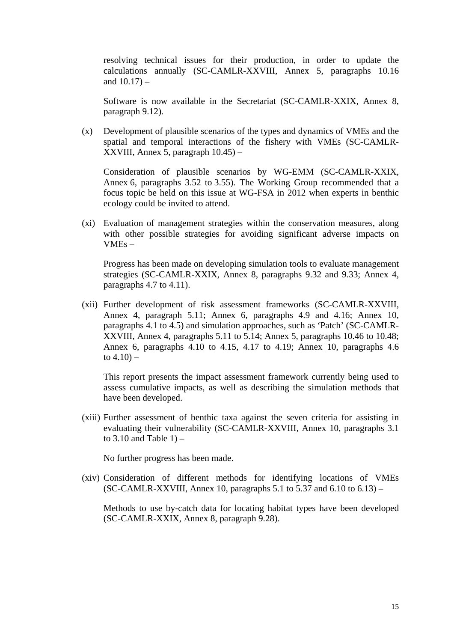resolving technical issues for their production, in order to update the calculations annually (SC-CAMLR-XXVIII, Annex 5, paragraphs 10.16 and  $10.17$ ) –

Software is now available in the Secretariat (SC-CAMLR-XXIX, Annex 8, paragraph 9.12).

(x) Development of plausible scenarios of the types and dynamics of VMEs and the spatial and temporal interactions of the fishery with VMEs (SC-CAMLR-XXVIII, Annex 5, paragraph 10.45) –

Consideration of plausible scenarios by WG-EMM (SC-CAMLR-XXIX, Annex 6, paragraphs 3.52 to 3.55). The Working Group recommended that a focus topic be held on this issue at WG-FSA in 2012 when experts in benthic ecology could be invited to attend.

(xi) Evaluation of management strategies within the conservation measures, along with other possible strategies for avoiding significant adverse impacts on VMEs –

Progress has been made on developing simulation tools to evaluate management strategies (SC-CAMLR-XXIX, Annex 8, paragraphs 9.32 and 9.33; Annex 4, paragraphs 4.7 to 4.11).

(xii) Further development of risk assessment frameworks (SC-CAMLR-XXVIII, Annex 4, paragraph 5.11; Annex 6, paragraphs 4.9 and 4.16; Annex 10, paragraphs 4.1 to 4.5) and simulation approaches, such as 'Patch' (SC-CAMLR-XXVIII, Annex 4, paragraphs 5.11 to 5.14; Annex 5, paragraphs 10.46 to 10.48; Annex 6, paragraphs 4.10 to 4.15, 4.17 to 4.19; Annex 10, paragraphs 4.6 to  $4.10$ ) –

This report presents the impact assessment framework currently being used to assess cumulative impacts, as well as describing the simulation methods that have been developed.

(xiii) Further assessment of benthic taxa against the seven criteria for assisting in evaluating their vulnerability (SC-CAMLR-XXVIII, Annex 10, paragraphs 3.1 to 3.10 and Table  $1$ ) –

No further progress has been made.

(xiv) Consideration of different methods for identifying locations of VMEs (SC-CAMLR-XXVIII, Annex 10, paragraphs 5.1 to 5.37 and 6.10 to 6.13) –

Methods to use by-catch data for locating habitat types have been developed (SC-CAMLR-XXIX, Annex 8, paragraph 9.28).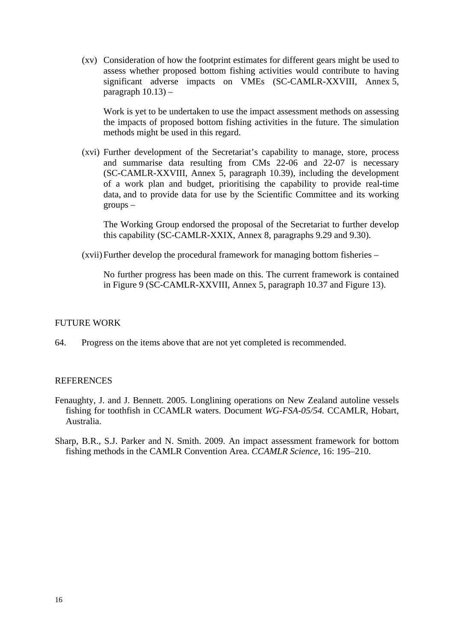(xv) Consideration of how the footprint estimates for different gears might be used to assess whether proposed bottom fishing activities would contribute to having significant adverse impacts on VMEs (SC-CAMLR-XXVIII, Annex 5, paragraph  $10.13$ ) –

Work is yet to be undertaken to use the impact assessment methods on assessing the impacts of proposed bottom fishing activities in the future. The simulation methods might be used in this regard.

(xvi) Further development of the Secretariat's capability to manage, store, process and summarise data resulting from CMs 22-06 and 22-07 is necessary (SC-CAMLR-XXVIII, Annex 5, paragraph 10.39), including the development of a work plan and budget, prioritising the capability to provide real-time data, and to provide data for use by the Scientific Committee and its working groups –

The Working Group endorsed the proposal of the Secretariat to further develop this capability (SC-CAMLR-XXIX, Annex 8, paragraphs 9.29 and 9.30).

(xvii) Further develop the procedural framework for managing bottom fisheries –

No further progress has been made on this. The current framework is contained in Figure 9 (SC-CAMLR-XXVIII, Annex 5, paragraph 10.37 and Figure 13).

#### FUTURE WORK

64. Progress on the items above that are not yet completed is recommended.

## **REFERENCES**

- Fenaughty, J. and J. Bennett. 2005. Longlining operations on New Zealand autoline vessels fishing for toothfish in CCAMLR waters. Document *WG-FSA-05/54.* CCAMLR, Hobart, Australia.
- Sharp, B.R., S.J. Parker and N. Smith. 2009. An impact assessment framework for bottom fishing methods in the CAMLR Convention Area. *CCAMLR Science*, 16: 195–210.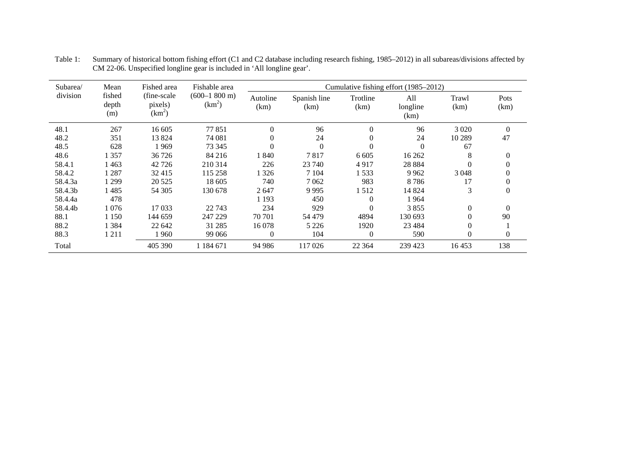| Subarea/ | Mean                   | Fished area                         | Fishable area                                |                  |                      |                  | Cumulative fishing effort (1985–2012) |               |              |
|----------|------------------------|-------------------------------------|----------------------------------------------|------------------|----------------------|------------------|---------------------------------------|---------------|--------------|
| division | fished<br>depth<br>(m) | (fine-scale)<br>pixels)<br>$(km^2)$ | $(600-1800 \text{ m})$<br>(km <sup>2</sup> ) | Autoline<br>(km) | Spanish line<br>(km) | Trotline<br>(km) | All<br>longline<br>(km)               | Trawl<br>(km) | Pots<br>(km) |
| 48.1     | 267                    | 16 605                              | 77851                                        | $\Omega$         | 96                   | $\Omega$         | 96                                    | 3 0 2 0       | $\Omega$     |
| 48.2     | 351                    | 13824                               | 74 081                                       | $\Omega$         | 24                   | $\theta$         | 24                                    | 10 289        | 47           |
| 48.5     | 628                    | 1969                                | 73 345                                       | $\theta$         | $\Omega$             | $\Omega$         | $\Omega$                              | 67            |              |
| 48.6     | 1 357                  | 36 726                              | 84 216                                       | 1840             | 7817                 | 6 6 0 5          | 16 26 2                               | 8             | $\theta$     |
| 58.4.1   | 1463                   | 42 726                              | 210 314                                      | 226              | 23 740               | 4917             | 28 8 8 4                              | $\Omega$      | $\Omega$     |
| 58.4.2   | 1 287                  | 32 415                              | 115 258                                      | 1326             | 7 1 0 4              | l 533            | 9 9 6 2                               | 3 0 4 8       | 0            |
| 58.4.3a  | 1 2 9 9                | 20 5 25                             | 18 605                                       | 740              | 7062                 | 983              | 8786                                  | 17            | $\Omega$     |
| 58.4.3b  | 1485                   | 54 30 5                             | 130 678                                      | 2647             | 9995                 | 1 512            | 14 824                                | 3             | $\mathbf{0}$ |
| 58.4.4a  | 478                    |                                     |                                              | 1 1 9 3          | 450                  | 0                | 1964                                  |               |              |
| 58.4.4b  | 1 076                  | 17 033                              | 22 743                                       | 234              | 929                  | $\Omega$         | 3855                                  | $\Omega$      | $\Omega$     |
| 88.1     | 1 1 5 0                | 144 659                             | 247 229                                      | 70 701           | 54 479               | 4894             | 130 693                               | $\Omega$      | 90           |
| 88.2     | 1 384                  | 22 642                              | 31 285                                       | 16 078           | 5 2 2 6              | 1920             | 23 4 8 4                              | $\Omega$      |              |
| 88.3     | 1 2 1 1                | 1 960                               | 99 066                                       | $\theta$         | 104                  | $\mathbf{0}$     | 590                                   | $\theta$      | $\Omega$     |
| Total    |                        | 405 390                             | 1 184 671                                    | 94 986           | 117 026              | 22 3 64          | 239 423                               | 16453         | 138          |

Table 1: Summary of historical bottom fishing effort (C1 and C2 database including research fishing, 1985–2012) in all subareas/divisions affected by CM 22-06. Unspecified longline gear is included in 'All longline gear'.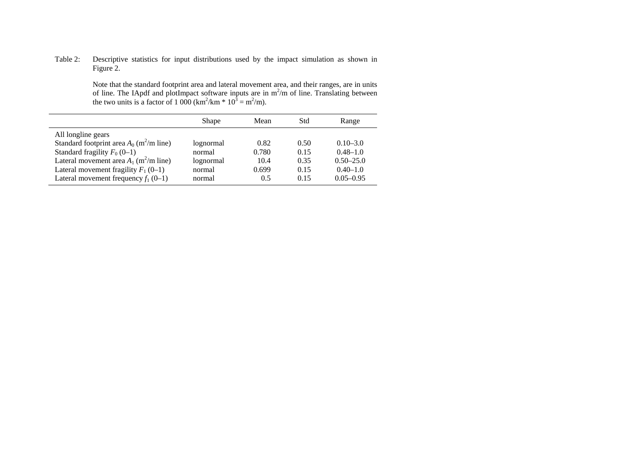#### Table 2: Descriptive statistics for input distributions used by the impact simulation as shown in Figure 2.

 Note that the standard footprint area and lateral movement area, and their ranges, are in units of line. The IApdf and plotImpact software inputs are in  $m^2/m$  of line. Translating between the two units is a factor of 1 000 (km<sup>2</sup>/km  $*$  10<sup>3</sup> = m<sup>2</sup>/m).

|                                                        | Shape     | Mean  | Std  | Range         |
|--------------------------------------------------------|-----------|-------|------|---------------|
| All longline gears                                     |           |       |      |               |
| Standard footprint area $A_0$ (m <sup>2</sup> /m line) | lognormal | 0.82  | 0.50 | $0.10 - 3.0$  |
| Standard fragility $F_0$ (0–1)                         | normal    | 0.780 | 0.15 | $0.48 - 1.0$  |
| Lateral movement area $A_1$ (m <sup>2</sup> /m line)   | lognormal | 10.4  | 0.35 | $0.50 - 25.0$ |
| Lateral movement fragility $F_1(0-1)$                  | normal    | 0.699 | 0.15 | $0.40 - 1.0$  |
| Lateral movement frequency $f_1(0-1)$                  | normal    | 0.5   | 0.15 | $0.05 - 0.95$ |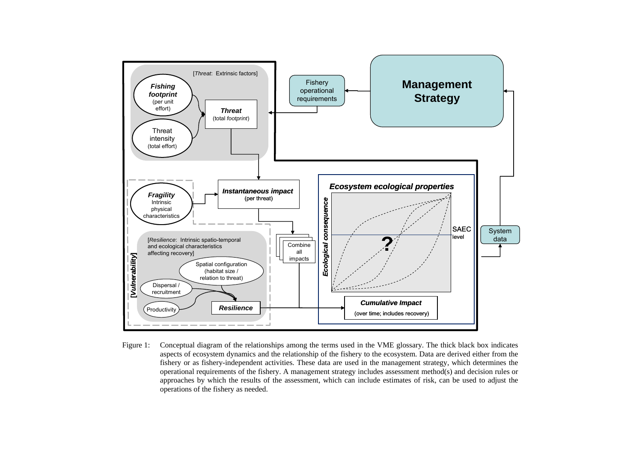

Figure 1: Conceptual diagram of the relationships among the terms used in the VME glossary. The thick black box indicates aspects of ecosystem dynamics and the relationship of the fishery to the ecosystem. Data are derived either from the fishery or as fishery-independent activities. These data are used in the management strategy, which determines the operational requirements of the fishery. A management strategy includes assessment method(s) and decision rules or approaches by which the results of the assessment, which can include estimates of risk, can be used to adjust the operations of the fishery as needed.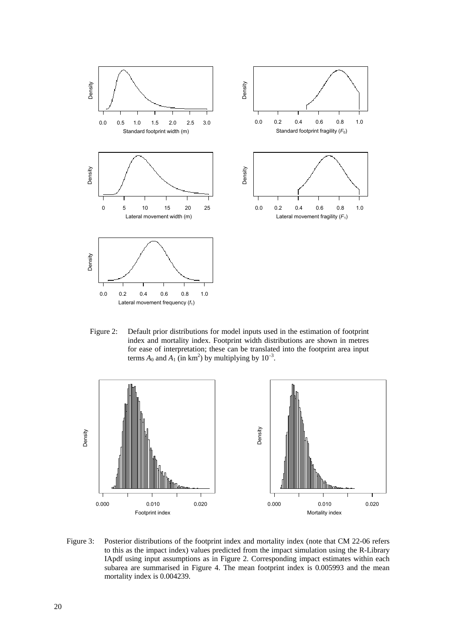

Figure 2: Default prior distributions for model inputs used in the estimation of footprint index and mortality index. Footprint width distributions are shown in metres for ease of interpretation; these can be translated into the footprint area input terms  $A_0$  and  $A_1$  (in km<sup>2</sup>) by multiplying by  $10^{-3}$ .



Figure 3: Posterior distributions of the footprint index and mortality index (note that CM 22-06 refers to this as the impact index) values predicted from the impact simulation using the R-Library IApdf using input assumptions as in Figure 2. Corresponding impact estimates within each subarea are summarised in Figure 4. The mean footprint index is 0.005993 and the mean mortality index is 0.004239.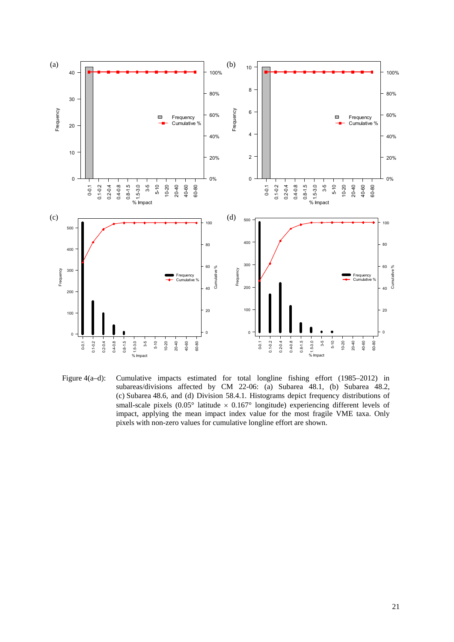

Figure 4(a–d): Cumulative impacts estimated for total longline fishing effort (1985–2012) in subareas/divisions affected by CM 22-06: (a) Subarea 48.1, (b) Subarea 48.2, (c) Subarea 48.6, and (d) Division 58.4.1. Histograms depict frequency distributions of small-scale pixels (0.05° latitude  $\times$  0.167° longitude) experiencing different levels of impact, applying the mean impact index value for the most fragile VME taxa. Only pixels with non-zero values for cumulative longline effort are shown.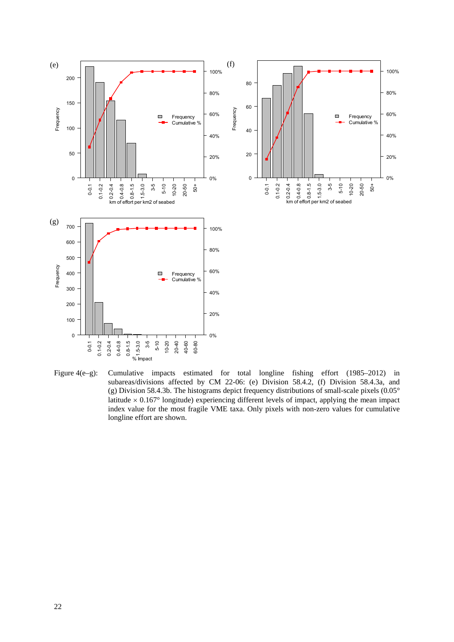

Figure 4(e–g): Cumulative impacts estimated for total longline fishing effort (1985–2012) in subareas/divisions affected by CM 22-06: (e) Division 58.4.2, (f) Division 58.4.3a, and (g) Division 58.4.3b. The histograms depict frequency distributions of small-scale pixels (0.05° latitude  $\times$  0.167° longitude) experiencing different levels of impact, applying the mean impact index value for the most fragile VME taxa. Only pixels with non-zero values for cumulative longline effort are shown.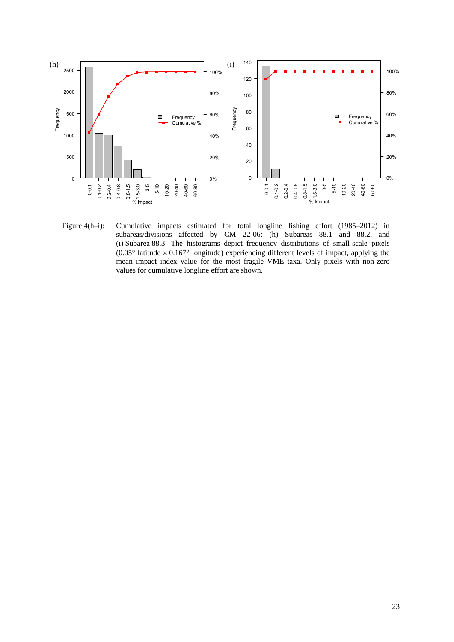

Figure 4(h–i): Cumulative impacts estimated for total longline fishing effort (1985–2012) in subareas/divisions affected by CM 22-06: (h) Subareas 88.1 and 88.2, and (i) Subarea 88.3. The histograms depict frequency distributions of small-scale pixels  $(0.05^{\circ})$  latitude  $\times$  0.167° longitude) experiencing different levels of impact, applying the mean impact index value for the most fragile VME taxa. Only pixels with non-zero values for cumulative longline effort are shown.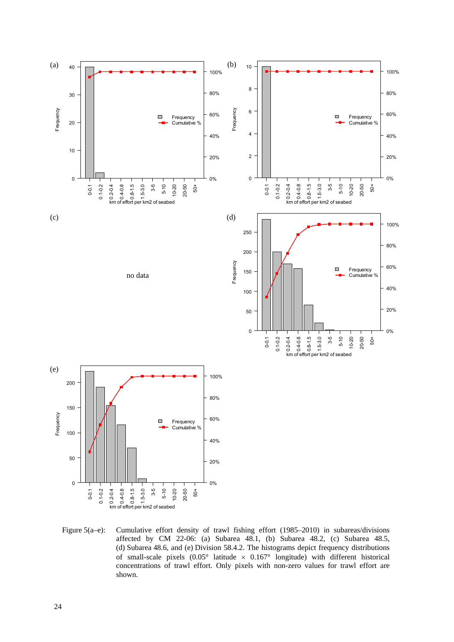

Figure 5(a–e): Cumulative effort density of trawl fishing effort (1985–2010) in subareas/divisions affected by CM 22-06: (a) Subarea  $48.1$ , (b) Subarea  $48.2$ , (c) Subarea  $48.5$ , (d) Subarea 48.6, and (e) Division 58.4.2. The histograms depict frequency distributions of small-scale pixels  $(0.05^{\circ}$  latitude  $\times$  0.167° longitude) with different historical concentrations of trawl effort. Only pixels with non-zero values for trawl effort are shown.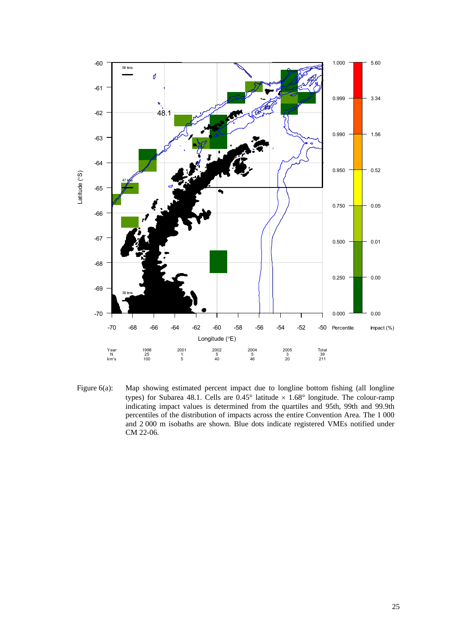

Figure 6(a): Map showing estimated percent impact due to longline bottom fishing (all longline types) for Subarea 48.1. Cells are  $0.45^{\circ}$  latitude  $\times$  1.68° longitude. The colour-ramp indicating impact values is determined from the quartiles and 95th, 99th and 99.9th percentiles of the distribution of impacts across the entire Convention Area. The 1 000 and 2 000 m isobaths are shown. Blue dots indicate registered VMEs notified under CM 22-06.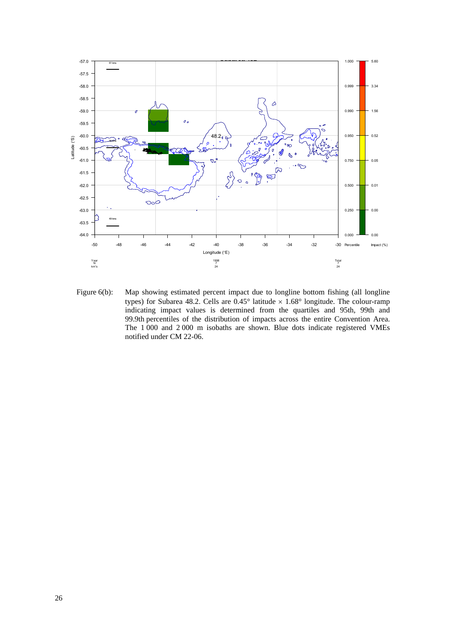

Figure 6(b): Map showing estimated percent impact due to longline bottom fishing (all longline types) for Subarea 48.2. Cells are  $0.45^{\circ}$  latitude  $\times 1.68^{\circ}$  longitude. The colour-ramp indicating impact values is determined from the quartiles and 95th, 99th and 99.9th percentiles of the distribution of impacts across the entire Convention Area. The 1 000 and 2 000 m isobaths are shown. Blue dots indicate registered VMEs notified under CM 22-06.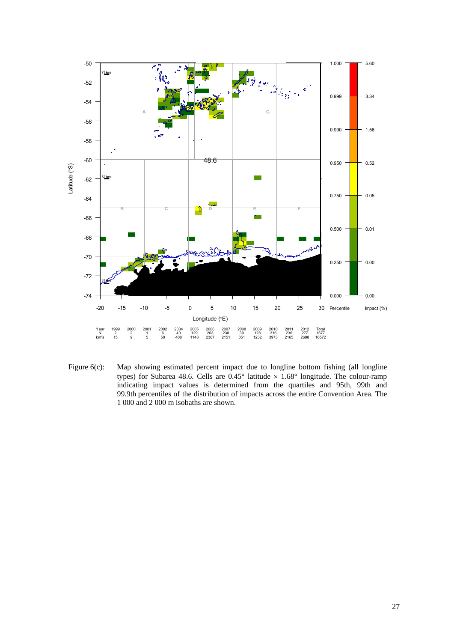

Figure 6(c): Map showing estimated percent impact due to longline bottom fishing (all longline types) for Subarea 48.6. Cells are  $0.45^{\circ}$  latitude  $\times$  1.68° longitude. The colour-ramp indicating impact values is determined from the quartiles and 95th, 99th and 99.9th percentiles of the distribution of impacts across the entire Convention Area. The 1 000 and 2 000 m isobaths are shown.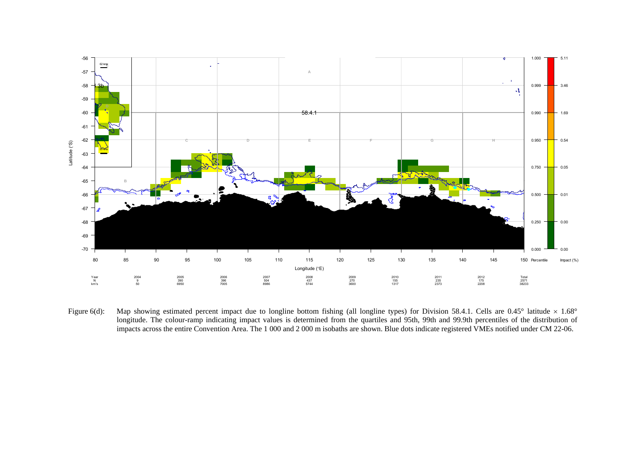

Figure 6(d): Map showing estimated percent impact due to longline bottom fishing (all longline types) for Division 58.4.1. Cells are 0.45° latitude  $\times$  1.68° longitude. The colour-ramp indicating impact values is determined from the quartiles and 95th, 99th and 99.9th percentiles of the distribution of impacts across the entire Convention Area. The 1 000 and 2 000 m isobaths are shown. Blue dots indicate registered VMEs notified under CM 22-06.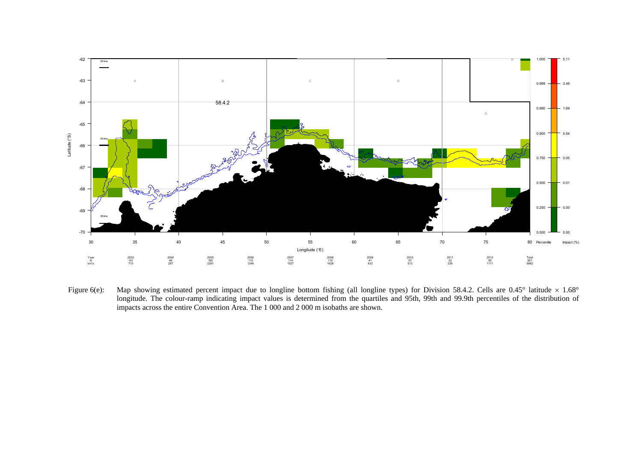

Figure 6(e): Map showing estimated percent impact due to longline bottom fishing (all longline types) for Division 58.4.2. Cells are  $0.45^{\circ}$  latitude  $\times$  1.68° longitude. The colour-ramp indicating impact values is determined from the quartiles and 95th, 99th and 99.9th percentiles of the distribution of impacts across the entire Convention Area. The 1 000 and 2 000 m isobaths are shown.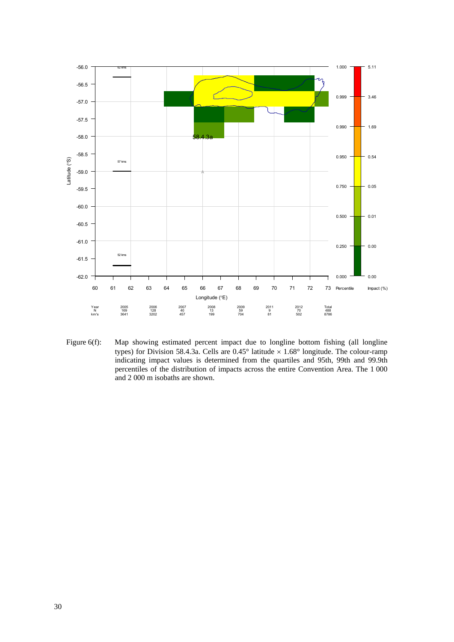![](_page_33_Figure_0.jpeg)

Figure 6(f): Map showing estimated percent impact due to longline bottom fishing (all longline types) for Division 58.4.3a. Cells are  $0.45^{\circ}$  latitude  $\times$  1.68° longitude. The colour-ramp indicating impact values is determined from the quartiles and 95th, 99th and 99.9th percentiles of the distribution of impacts across the entire Convention Area. The 1 000 and 2 000 m isobaths are shown.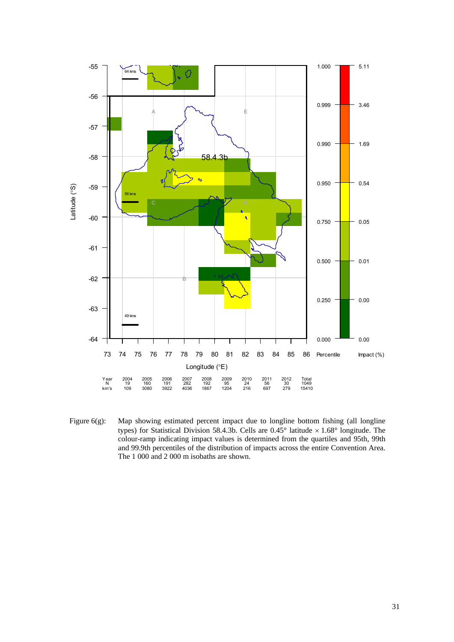![](_page_34_Figure_0.jpeg)

Figure 6(g): Map showing estimated percent impact due to longline bottom fishing (all longline types) for Statistical Division 58.4.3b. Cells are  $0.45^{\circ}$  latitude  $\times 1.68^{\circ}$  longitude. The colour-ramp indicating impact values is determined from the quartiles and 95th, 99th and 99.9th percentiles of the distribution of impacts across the entire Convention Area. The 1 000 and 2 000 m isobaths are shown.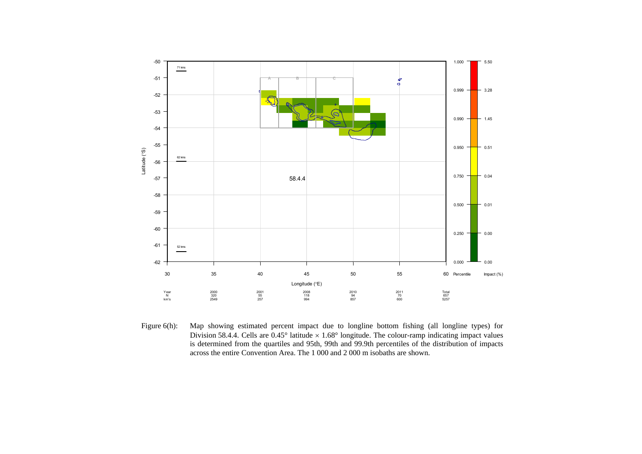![](_page_35_Figure_0.jpeg)

Figure 6(h): Map showing estimated percent impact due to longline bottom fishing (all longline types) for Division 58.4.4. Cells are  $0.45^{\circ}$  latitude  $\times 1.68^{\circ}$  longitude. The colour-ramp indicating impact values is determined from the quartiles and 95th, 99th and 99.9th percentiles of the distribution of impacts across the entire Convention Area. The 1 000 and 2 000 m isobaths are shown.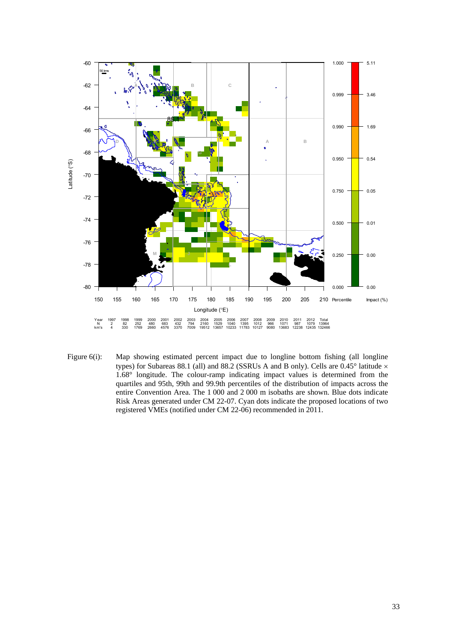![](_page_36_Figure_0.jpeg)

Figure 6(i): Map showing estimated percent impact due to longline bottom fishing (all longline types) for Subareas 88.1 (all) and 88.2 (SSRUs A and B only). Cells are  $0.45^{\circ}$  latitude  $\times$ 1.68° longitude. The colour-ramp indicating impact values is determined from the quartiles and 95th, 99th and 99.9th percentiles of the distribution of impacts across the entire Convention Area. The 1 000 and 2 000 m isobaths are shown. Blue dots indicate Risk Areas generated under CM 22-07. Cyan dots indicate the proposed locations of two registered VMEs (notified under CM 22-06) recommended in 2011.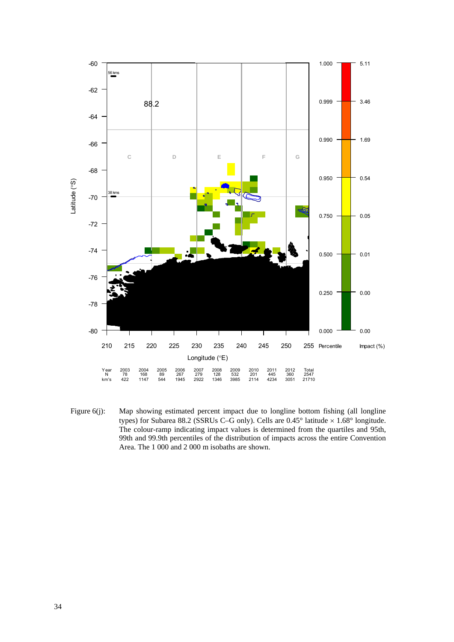![](_page_37_Figure_0.jpeg)

Figure 6(j): Map showing estimated percent impact due to longline bottom fishing (all longline types) for Subarea 88.2 (SSRUs C–G only). Cells are 0.45° latitude  $\times$  1.68° longitude. The colour-ramp indicating impact values is determined from the quartiles and 95th, 99th and 99.9th percentiles of the distribution of impacts across the entire Convention Area. The 1 000 and 2 000 m isobaths are shown.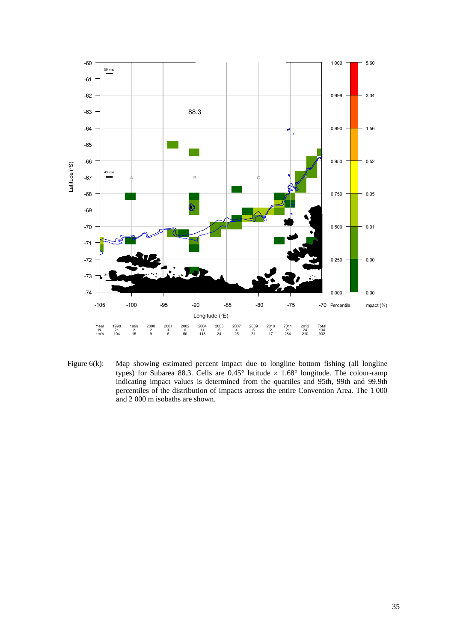![](_page_38_Figure_0.jpeg)

Figure 6(k): Map showing estimated percent impact due to longline bottom fishing (all longline types) for Subarea 88.3. Cells are  $0.45^{\circ}$  latitude  $\times$  1.68° longitude. The colour-ramp indicating impact values is determined from the quartiles and 95th, 99th and 99.9th percentiles of the distribution of impacts across the entire Convention Area. The 1 000 and 2 000 m isobaths are shown.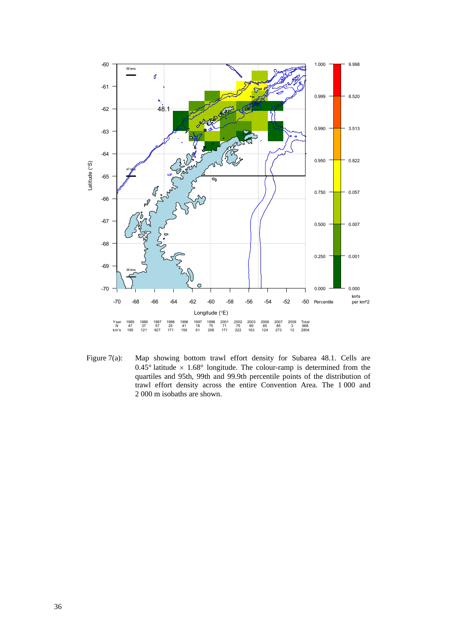![](_page_39_Figure_0.jpeg)

Figure 7(a): Map showing bottom trawl effort density for Subarea 48.1. Cells are 0.45° latitude  $\times$  1.68° longitude. The colour-ramp is determined from the quartiles and 95th, 99th and 99.9th percentile points of the distribution of trawl effort density across the entire Convention Area. The 1 000 and 2 000 m isobaths are shown.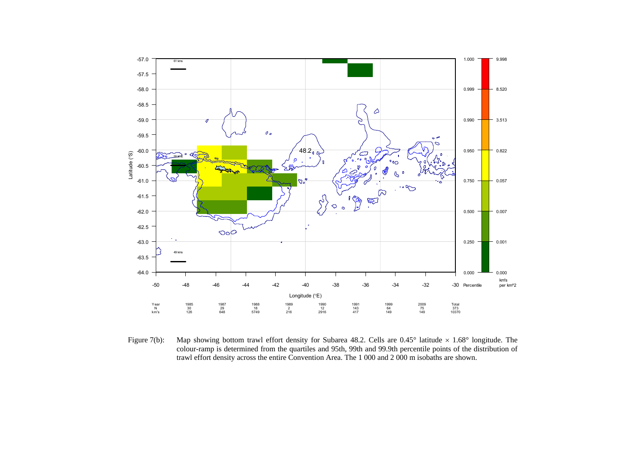![](_page_40_Figure_0.jpeg)

Figure 7(b): Map showing bottom trawl effort density for Subarea 48.2. Cells are  $0.45^{\circ}$  latitude  $\times$  1.68° longitude. The colour-ramp is determined from the quartiles and 95th, 99th and 99.9th percentile points of the distribution of trawl effort density across the entire Convention Area. The 1 000 and 2 000 m isobaths are shown.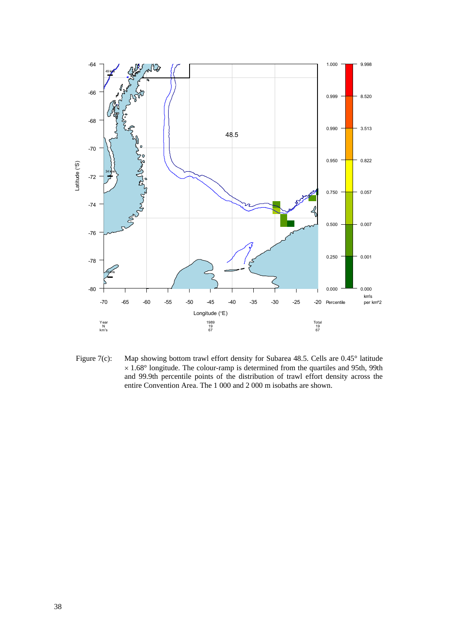![](_page_41_Figure_0.jpeg)

Figure 7(c): Map showing bottom trawl effort density for Subarea 48.5. Cells are 0.45° latitude  $\times$  1.68 $\textdegree$  longitude. The colour-ramp is determined from the quartiles and 95th, 99th and 99.9th percentile points of the distribution of trawl effort density across the entire Convention Area. The 1 000 and 2 000 m isobaths are shown.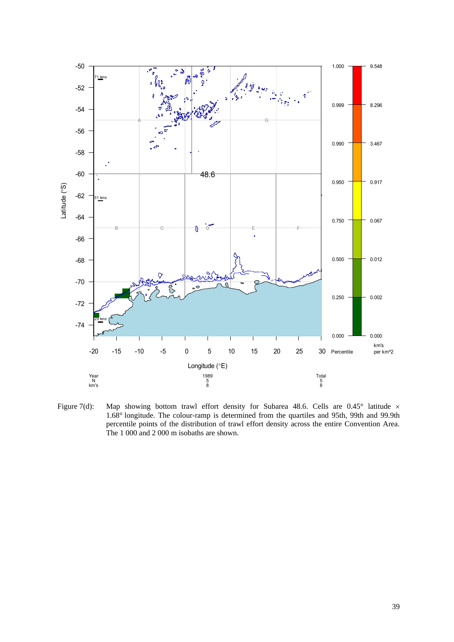![](_page_42_Figure_0.jpeg)

Figure 7(d): Map showing bottom trawl effort density for Subarea 48.6. Cells are  $0.45^{\circ}$  latitude  $\times$ 1.68° longitude. The colour-ramp is determined from the quartiles and 95th, 99th and 99.9th percentile points of the distribution of trawl effort density across the entire Convention Area. The 1 000 and 2 000 m isobaths are shown.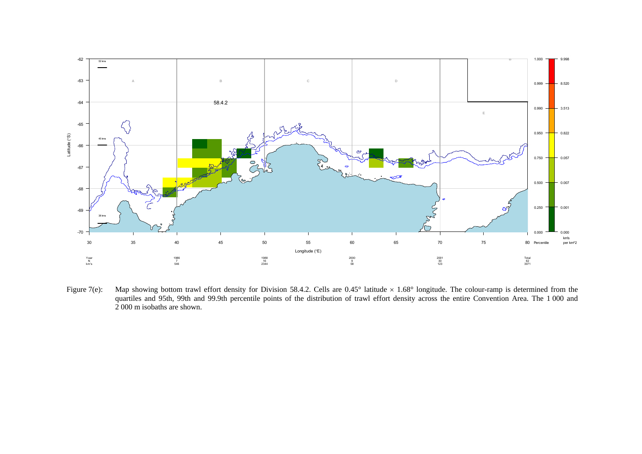![](_page_43_Figure_0.jpeg)

Figure 7(e): Map showing bottom trawl effort density for Division 58.4.2. Cells are  $0.45^{\circ}$  latitude  $\times$  1.68° longitude. The colour-ramp is determined from the quartiles and 95th, 99th and 99.9th percentile points of the distribution of trawl effort density across the entire Convention Area. The 1 000 and 2 000 m isobaths are shown.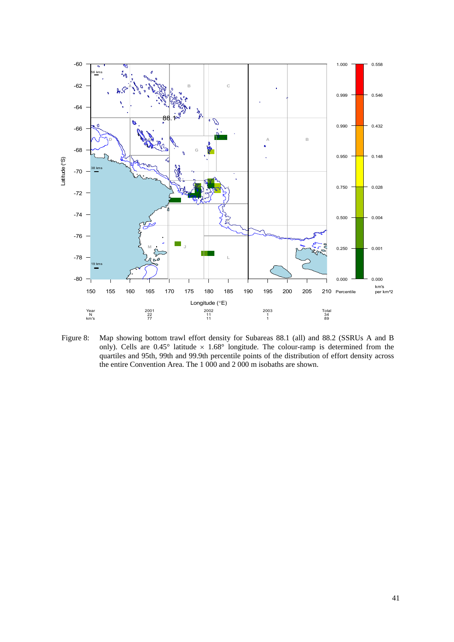![](_page_44_Figure_0.jpeg)

Figure 8: Map showing bottom trawl effort density for Subareas 88.1 (all) and 88.2 (SSRUs A and B only). Cells are  $0.45^{\circ}$  latitude  $\times$  1.68° longitude. The colour-ramp is determined from the quartiles and 95th, 99th and 99.9th percentile points of the distribution of effort density across the entire Convention Area. The 1 000 and 2 000 m isobaths are shown.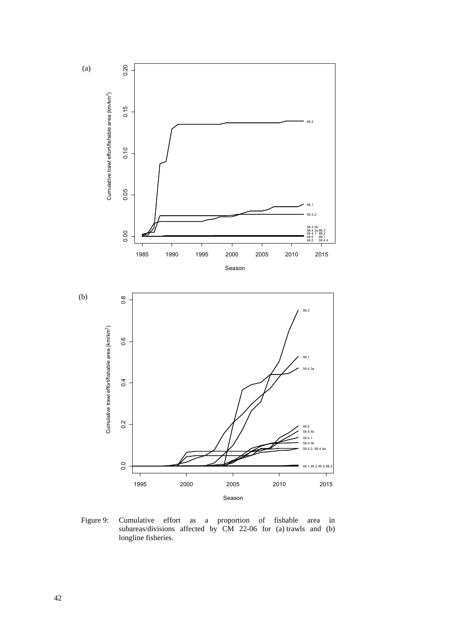![](_page_45_Figure_0.jpeg)

Figure 9: Cumulative effort as a proportion of fishable area in subareas/divisions affected by CM 22-06 for (a) trawls and (b) longline fisheries.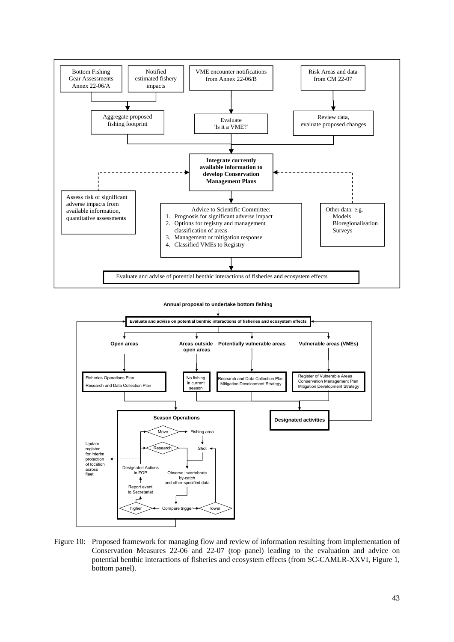![](_page_46_Figure_0.jpeg)

![](_page_46_Figure_1.jpeg)

![](_page_46_Figure_2.jpeg)

Figure 10: Proposed framework for managing flow and review of information resulting from implementation of Conservation Measures 22-06 and 22-07 (top panel) leading to the evaluation and advice on potential benthic interactions of fisheries and ecosystem effects (from SC-CAMLR-XXVI, Figure 1, bottom panel).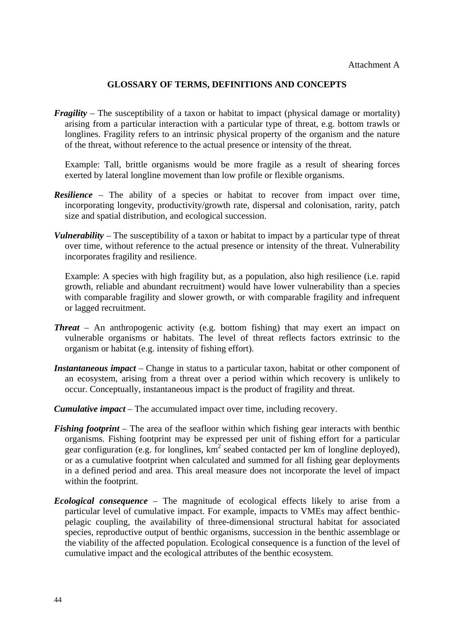## **GLOSSARY OF TERMS, DEFINITIONS AND CONCEPTS**

*Fragility* – The susceptibility of a taxon or habitat to impact (physical damage or mortality) arising from a particular interaction with a particular type of threat, e.g. bottom trawls or longlines. Fragility refers to an intrinsic physical property of the organism and the nature of the threat, without reference to the actual presence or intensity of the threat.

 Example: Tall, brittle organisms would be more fragile as a result of shearing forces exerted by lateral longline movement than low profile or flexible organisms.

- *Resilience* The ability of a species or habitat to recover from impact over time, incorporating longevity, productivity/growth rate, dispersal and colonisation, rarity, patch size and spatial distribution, and ecological succession.
- *Vulnerability* The susceptibility of a taxon or habitat to impact by a particular type of threat over time, without reference to the actual presence or intensity of the threat. Vulnerability incorporates fragility and resilience.

 Example: A species with high fragility but, as a population, also high resilience (i.e. rapid growth, reliable and abundant recruitment) would have lower vulnerability than a species with comparable fragility and slower growth, or with comparable fragility and infrequent or lagged recruitment.

- *Threat* An anthropogenic activity (e.g. bottom fishing) that may exert an impact on vulnerable organisms or habitats. The level of threat reflects factors extrinsic to the organism or habitat (e.g. intensity of fishing effort).
- *Instantaneous impact* Change in status to a particular taxon, habitat or other component of an ecosystem, arising from a threat over a period within which recovery is unlikely to occur. Conceptually, instantaneous impact is the product of fragility and threat.
- *Cumulative impact* The accumulated impact over time, including recovery.
- *Fishing footprint* The area of the seafloor within which fishing gear interacts with benthic organisms. Fishing footprint may be expressed per unit of fishing effort for a particular gear configuration (e.g. for longlines,  $km^2$  seabed contacted per km of longline deployed), or as a cumulative footprint when calculated and summed for all fishing gear deployments in a defined period and area. This areal measure does not incorporate the level of impact within the footprint.
- *Ecological consequence* The magnitude of ecological effects likely to arise from a particular level of cumulative impact. For example, impacts to VMEs may affect benthicpelagic coupling, the availability of three-dimensional structural habitat for associated species, reproductive output of benthic organisms, succession in the benthic assemblage or the viability of the affected population. Ecological consequence is a function of the level of cumulative impact and the ecological attributes of the benthic ecosystem.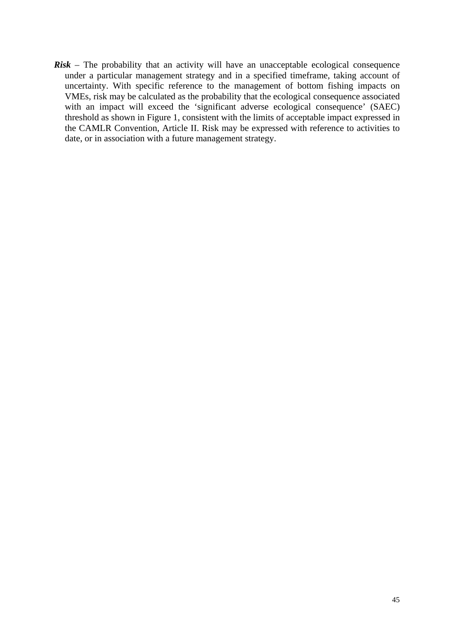*Risk* – The probability that an activity will have an unacceptable ecological consequence under a particular management strategy and in a specified timeframe, taking account of uncertainty. With specific reference to the management of bottom fishing impacts on VMEs, risk may be calculated as the probability that the ecological consequence associated with an impact will exceed the 'significant adverse ecological consequence' (SAEC) threshold as shown in Figure 1, consistent with the limits of acceptable impact expressed in the CAMLR Convention, Article II. Risk may be expressed with reference to activities to date, or in association with a future management strategy.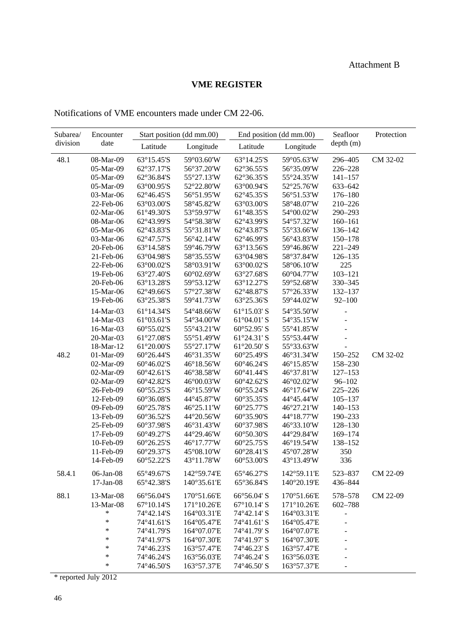## **VME REGISTER**

# Notifications of VME encounters made under CM 22-06.

| Subarea/ | Encounter    |            | Start position (dd mm.00) |                             | End position (dd mm.00) | Seafloor                 | Protection |
|----------|--------------|------------|---------------------------|-----------------------------|-------------------------|--------------------------|------------|
| division | date         | Latitude   | Longitude                 | Latitude                    | Longitude               | depth (m)                |            |
|          |              |            |                           |                             |                         |                          |            |
| 48.1     | 08-Mar-09    | 63°15.45'S | 59°03.60'W                | 63°14.25'S                  | 59°05.63'W              | 296-405                  | CM 32-02   |
|          | 05-Mar-09    | 62°37.17'S | 56°37.20'W                | 62°36.55'S                  | 56°35.09'W              | 226-228                  |            |
|          | 05-Mar-09    | 62°36.84'S | 55°27.13'W                | 62°36.35'S                  | 55°24.35'W              | $141 - 157$              |            |
|          | 05-Mar-09    | 63°00.95'S | 52°22.80'W                | 63°00.94'S                  | 52°25.76'W              | 633-642                  |            |
|          | 03-Mar-06    | 62°46.45'S | 56°51.95'W                | 62°45.35'S                  | 56°51.53'W              | $176 - 180$              |            |
|          | 22-Feb-06    | 63°03.00'S | 58°45.82'W                | 63°03.00'S                  | 58°48.07'W              | 210-226                  |            |
|          | 02-Mar-06    | 61°49.30'S | 53°59.97'W                | 61°48.35'S                  | 54°00.02'W              | 290-293                  |            |
|          | 08-Mar-06    | 62°43.99'S | 54°58.38'W                | 62°43.99'S                  | 54°57.32'W              | $160 - 161$              |            |
|          | 05-Mar-06    | 62°43.83'S | 55°31.81'W                | 62°43.87'S                  | 55°33.66'W              | 136-142                  |            |
|          | 03-Mar-06    | 62°47.57'S | 56°42.14'W                | 62°46.99'S                  | 56°43.83'W              | $150 - 178$              |            |
|          | 20-Feb-06    | 63°14.58'S | 59°46.79'W                | 63°13.56'S                  | 59°46.86'W              | $221 - 249$              |            |
|          | 21-Feb-06    | 63°04.98'S | 58°35.55'W                | 63°04.98'S                  | 58°37.84'W              | $126 - 135$              |            |
|          | 22-Feb-06    | 63°00.02'S | 58°03.91'W                | 63°00.02'S                  | 58°06.10'W              | 225                      |            |
|          | 19-Feb-06    | 63°27.40'S | 60°02.69'W                | 63°27.68'S                  | 60°04.77'W              | $103 - 121$              |            |
|          | 20-Feb-06    | 63°13.28'S | 59°53.12'W                | 63°12.27'S                  | 59°52.68'W              | 330-345                  |            |
|          | 15-Mar-06    | 62°49.66'S | 57°27.38'W                | 62°48.87'S                  | 57°26.33'W              | 132-137                  |            |
|          | 19-Feb-06    | 63°25.38'S | 59°41.73'W                | 63°25.36'S                  | 59°44.02'W              | $92 - 100$               |            |
|          | 14-Mar-03    | 61°14.34'S | 54°48.66'W                | 61°15.03' S                 | 54°35.50'W              |                          |            |
|          | 14-Mar-03    | 61°03.61'S | 54°34.00'W                | 61°04.01′ S                 | 54°35.15'W              |                          |            |
|          | 16-Mar-03    | 60°55.02'S | 55°43.21'W                | 60°52.95' S                 | 55°41.85'W              |                          |            |
|          | 20-Mar-03    | 61°27.08'S | 55°51.49'W                | 61°24.31′ S                 | 55°53.44'W              |                          |            |
|          | 18-Mar-12    | 61°20.00'S | 55°27.17'W                | $61^{\circ}20.50^{\circ}$ S | 55°33.63'W              |                          |            |
| 48.2     | 01-Mar-09    | 60°26.44'S | 46°31.35'W                | 60°25.49'S                  | 46°31.34'W              | 150-252                  | CM 32-02   |
|          | 02-Mar-09    | 60°46.02'S | 46°18.56'W                | 60°46.24'S                  | 46°15.85'W              | 158-230                  |            |
|          | 02-Mar-09    | 60°42.61'S | 46°38.58'W                | 60°41.44'S                  | 46°37.81'W              | $127 - 153$              |            |
|          | 02-Mar-09    | 60°42.82'S | 46°00.03'W                | 60°42.62'S                  | 46°02.02'W              | $96 - 102$               |            |
|          | 26-Feb-09    | 60°55.25'S | 46°15.59'W                | 60°55.24'S                  | 46°17.64'W              | $225 - 226$              |            |
|          | 12-Feb-09    | 60°36.08'S | 44°45.87'W                | 60°35.35'S                  | 44°45.44'W              | $105 - 137$              |            |
|          | 09-Feb-09    | 60°25.78'S | 46°25.11'W                | 60°25.77'S                  | 46°27.21'W              | $140 - 153$              |            |
|          | 13-Feb-09    | 60°36.52'S | 44°20.56'W                | 60°35.90'S                  | 44°18.77'W              | 190-233                  |            |
|          | 25-Feb-09    | 60°37.98'S | 46°31.43'W                | 60°37.98'S                  | 46°33.10'W              | $128 - 130$              |            |
|          | 17-Feb-09    | 60°49.27'S | 44°29.46'W                | 60°50.30'S                  | 44°29.84'W              | 169-174                  |            |
|          | 10-Feb-09    | 60°26.25'S | 46°17.77'W                | 60°25.75'S                  | 46°19.54'W              | 138-152                  |            |
|          | 11-Feb-09    | 60°29.37'S | 45°08.10'W                | 60°28.41'S                  | 45°07.28'W              | 350                      |            |
|          | 14-Feb-09    | 60°52.22'S | 43°11.78'W                | 60°53.00'S                  | 43°13.49'W              | 336                      |            |
| 58.4.1   | 06-Jan-08    | 65°49.67'S | 142°59.74'E               | 65°46.27'S                  | 142°59.11'E             | 523-837                  | CM 22-09   |
|          | $17$ -Jan-08 | 65°42.38'S | 140°35.61'E               | 65°36.84'S                  | 140°20.19'E             | 436-844                  |            |
| 88.1     | 13-Mar-08    | 66°56.04'S | 170°51.66'E               | 66°56.04' S                 | 170°51.66'E             | 578-578                  | CM 22-09   |
|          | 13-Mar-08    | 67°10.14'S | 171°10.26'E               | $67^{\circ}10.14$ ' S       | 171°10.26'E             | 602-788                  |            |
|          | *            | 74°42.14'S | 164°03.31'E               | 74°42.14' S                 | 164°03.31'E             | -                        |            |
|          | $\ast$       | 74°41.61'S | 164°05.47'E               | 74°41.61′S                  | 164°05.47'E             | $\overline{a}$           |            |
|          | $\ast$       | 74°41.79'S | 164°07.07'E               | 74°41.79' S                 | 164°07.07'E             |                          |            |
|          | *            | 74°41.97'S | 164°07.30'E               | 74°41.97' S                 | 164°07.30'E             |                          |            |
|          | *            | 74°46.23'S | 163°57.47'E               | 74°46.23' S                 | 163°57.47'E             |                          |            |
|          | $\ast$       | 74°46.24'S | 163°56.03'E               | 74°46.24′ S                 | 163°56.03'E             |                          |            |
|          | $\ast$       | 74°46.50'S | 163°57.37'E               | 74°46.50' S                 | 163°57.37'E             | $\overline{\phantom{m}}$ |            |
|          |              |            |                           |                             |                         |                          |            |

\* reported July 2012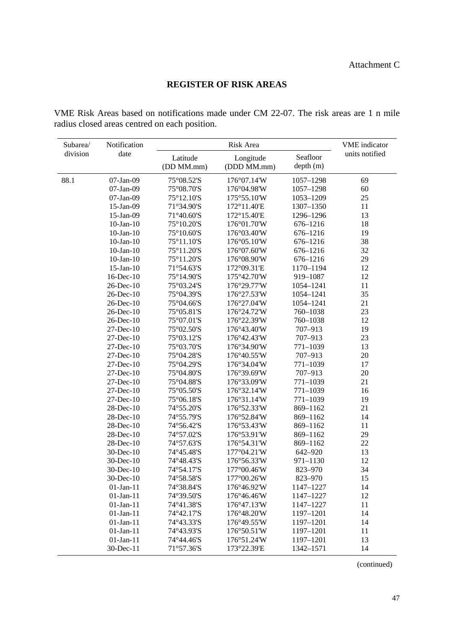## **REGISTER OF RISK AREAS**

VME Risk Areas based on notifications made under CM 22-07. The risk areas are 1 n mile radius closed areas centred on each position.

| Subarea/ | Notification    | Risk Area                            |                              |                      | <b>VME</b> indicator |  |
|----------|-----------------|--------------------------------------|------------------------------|----------------------|----------------------|--|
| division | date            | Latitude<br>(DD MM.mm)               | Longitude<br>(DDD MM.mm)     | Seafloor<br>depth(m) | units notified       |  |
| 88.1     | 07-Jan-09       | 75°08.52'S                           | 176°07.14'W                  | 1057-1298            | 69                   |  |
|          | 07-Jan-09       | 75°08.70'S                           | 176°04.98'W                  | 1057-1298            | 60                   |  |
|          | 07-Jan-09       | 75°12.10'S                           | 175°55.10'W                  | 1053-1209            | 25                   |  |
|          | 15-Jan-09       | 71°34.90'S                           | 172°11.40'E                  | 1307-1350            | 11                   |  |
|          | 15-Jan-09       | 71°40.60'S                           | 172°15.40'E                  | 1296-1296            | 13                   |  |
|          | $10$ -Jan- $10$ | 75°10.20'S                           | 176°01.70'W                  | 676-1216             | 18                   |  |
|          | $10$ -Jan- $10$ | $75^{\circ}10.60^{\prime}\mathrm{S}$ | 176°03.40'W                  | 676-1216             | 19                   |  |
|          | $10$ -Jan- $10$ | 75°11.10'S                           | 176°05.10'W                  | 676-1216             | 38                   |  |
|          | $10$ -Jan- $10$ | 75°11.20'S                           | 176°07.60'W                  | 676-1216             | 32                   |  |
|          | $10$ -Jan- $10$ | 75°11.20'S                           | 176°08.90'W                  | 676-1216             | 29                   |  |
|          | $15$ -Jan- $10$ | 71°54.63'S                           | 172°09.31'E                  | 1170-1194            | 12                   |  |
|          | 16-Dec-10       | 75°14.90'S                           | 175°42.70'W                  | 919-1087             | 12                   |  |
|          | 26-Dec-10       | 75°03.24'S                           | 176°29.77'W                  | 1054-1241            | 11                   |  |
|          | 26-Dec-10       | 75°04.39'S                           | 176°27.53'W                  | 1054-1241            | 35                   |  |
|          | 26-Dec-10       | 75°04.66'S                           | 176°27.04'W                  | 1054-1241            | 21                   |  |
|          | 26-Dec-10       | 75°05.81'S                           | 176°24.72'W                  | 760-1038             | 23                   |  |
|          | 26-Dec-10       | 75°07.01'S                           | 176°22.39'W                  | 760-1038             | 12                   |  |
|          | 27-Dec-10       | 75°02.50'S                           | 176°43.40'W                  | 707-913              | 19                   |  |
|          | 27-Dec-10       | 75°03.12'S                           | 176°42.43'W                  | 707-913              | 23                   |  |
|          | 27-Dec-10       | 75°03.70'S                           | 176°34.90'W                  | 771-1039             | 13                   |  |
|          | 27-Dec-10       | 75°04.28'S                           | 176°40.55'W                  | 707-913              | 20                   |  |
|          | 27-Dec-10       | 75°04.29'S                           | 176°34.04'W                  | 771-1039             | 17                   |  |
|          | 27-Dec-10       | 75°04.80'S                           | $176^{\circ}39.69^{\circ}W$  | 707-913              | $20\,$               |  |
|          | 27-Dec-10       | 75°04.88'S                           | 176°33.09'W                  | 771-1039             | 21                   |  |
|          | 27-Dec-10       | 75°05.50'S                           | 176°32.14'W                  | 771-1039             | 16                   |  |
|          | 27-Dec-10       | 75°06.18'S                           | 176°31.14'W                  | 771-1039             | 19                   |  |
|          | 28-Dec-10       | 74°55.20'S                           | 176°52.33'W                  | 869-1162             | 21                   |  |
|          | 28-Dec-10       | 74°55.79'S                           | 176°52.84'W                  | 869-1162             | 14                   |  |
|          | $28$ -Dec-10    | 74°56.42'S                           | 176°53.43'W                  | 869-1162             | 11                   |  |
|          | 28-Dec-10       | 74°57.02'S                           | 176°53.91'W                  | 869-1162             | 29                   |  |
|          | 28-Dec-10       | 74°57.63'S                           | 176°54.31'W                  | 869-1162             | 22                   |  |
|          | 30-Dec-10       | 74°45.48'S                           | 177°04.21'W                  | 642-920              | 13                   |  |
|          | 30-Dec-10       | 74°48.43'S                           | 176°56.33'W                  | 971-1130             | 12                   |  |
|          | 30-Dec-10       | 74°54.17'S                           | 177°00.46'W                  | 823-970              | 34                   |  |
|          | 30-Dec-10       | 74°58.58'S                           | 177°00.26'W                  | 823-970              | 15                   |  |
|          | $01$ -Jan- $11$ | 74°38.84'S                           | 176°46.92'W                  | 1147-1227            | 14                   |  |
|          | $01-Jan-11$     | 74°39.50'S                           | 176°46.46'W                  | 1147-1227            | 12                   |  |
|          | $01-Jan-11$     | 74°41.38'S                           | $176^{\circ}47.13^{\prime}W$ | 1147-1227            | 11                   |  |
|          | $01$ -Jan- $11$ | 74°42.17'S                           | 176°48.20'W                  | 1197-1201            | 14                   |  |
|          | $01$ -Jan- $11$ | 74°43.33'S                           | 176°49.55'W                  | 1197-1201            | 14                   |  |
|          | $01-Jan-11$     | 74°43.93'S                           | 176°50.51'W                  | 1197-1201            | 11                   |  |
|          | $01-Jan-11$     | 74°44.46'S                           | 176°51.24'W                  | 1197-1201            | 13                   |  |
|          | 30-Dec-11       | 71°57.36'S                           | 173°22.39'E                  | 1342-1571            | 14                   |  |

(continued)